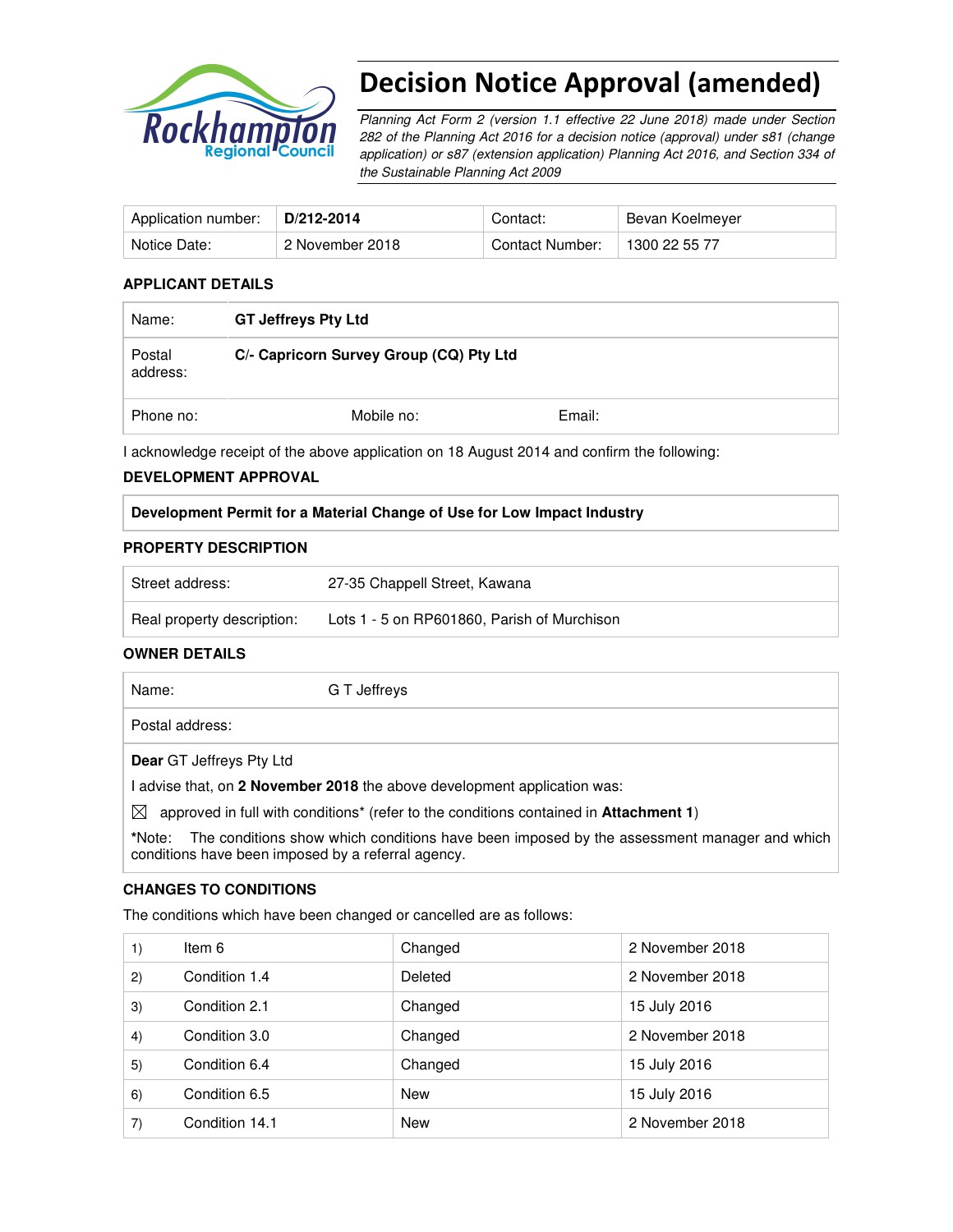

# Decision Notice Approval (amended)

Planning Act Form 2 (version 1.1 effective 22 June 2018) made under Section 282 of the Planning Act 2016 for a decision notice (approval) under s81 (change application) or s87 (extension application) Planning Act 2016, and Section 334 of the Sustainable Planning Act 2009

| Application number: | D/212-2014      | Contact:        | Bevan Koelmeyer |
|---------------------|-----------------|-----------------|-----------------|
| Notice Date:        | 2 November 2018 | Contact Number: | 1300 22 55 77   |

#### **APPLICANT DETAILS**

| Name:              | <b>GT Jeffreys Pty Ltd</b>              |        |
|--------------------|-----------------------------------------|--------|
| Postal<br>address: | C/- Capricorn Survey Group (CQ) Pty Ltd |        |
| Phone no:          | Mobile no:                              | Email: |

I acknowledge receipt of the above application on 18 August 2014 and confirm the following:

#### **DEVELOPMENT APPROVAL**

#### **Development Permit for a Material Change of Use for Low Impact Industry**

#### **PROPERTY DESCRIPTION**

| Street address:            | 27-35 Chappell Street, Kawana               |
|----------------------------|---------------------------------------------|
| Real property description: | Lots 1 - 5 on RP601860, Parish of Murchison |

#### **OWNER DETAILS**

| Name:                                                                    | G T Jeffreys |  |
|--------------------------------------------------------------------------|--------------|--|
| Postal address:                                                          |              |  |
| <b>Dear</b> GT Jeffreys Pty Ltd                                          |              |  |
| I advise that, on 2 November 2018 the above development application was: |              |  |

 $\boxtimes$  approved in full with conditions<sup>\*</sup> (refer to the conditions contained in **Attachment 1**)

**\***Note:The conditions show which conditions have been imposed by the assessment manager and which conditions have been imposed by a referral agency.

## **CHANGES TO CONDITIONS**

The conditions which have been changed or cancelled are as follows:

| 1) | Item 6         | Changed    | 2 November 2018 |
|----|----------------|------------|-----------------|
| 2) | Condition 1.4  | Deleted    | 2 November 2018 |
| 3) | Condition 2.1  | Changed    | 15 July 2016    |
| 4) | Condition 3.0  | Changed    | 2 November 2018 |
| 5) | Condition 6.4  | Changed    | 15 July 2016    |
| 6) | Condition 6.5  | <b>New</b> | 15 July 2016    |
| 7) | Condition 14.1 | <b>New</b> | 2 November 2018 |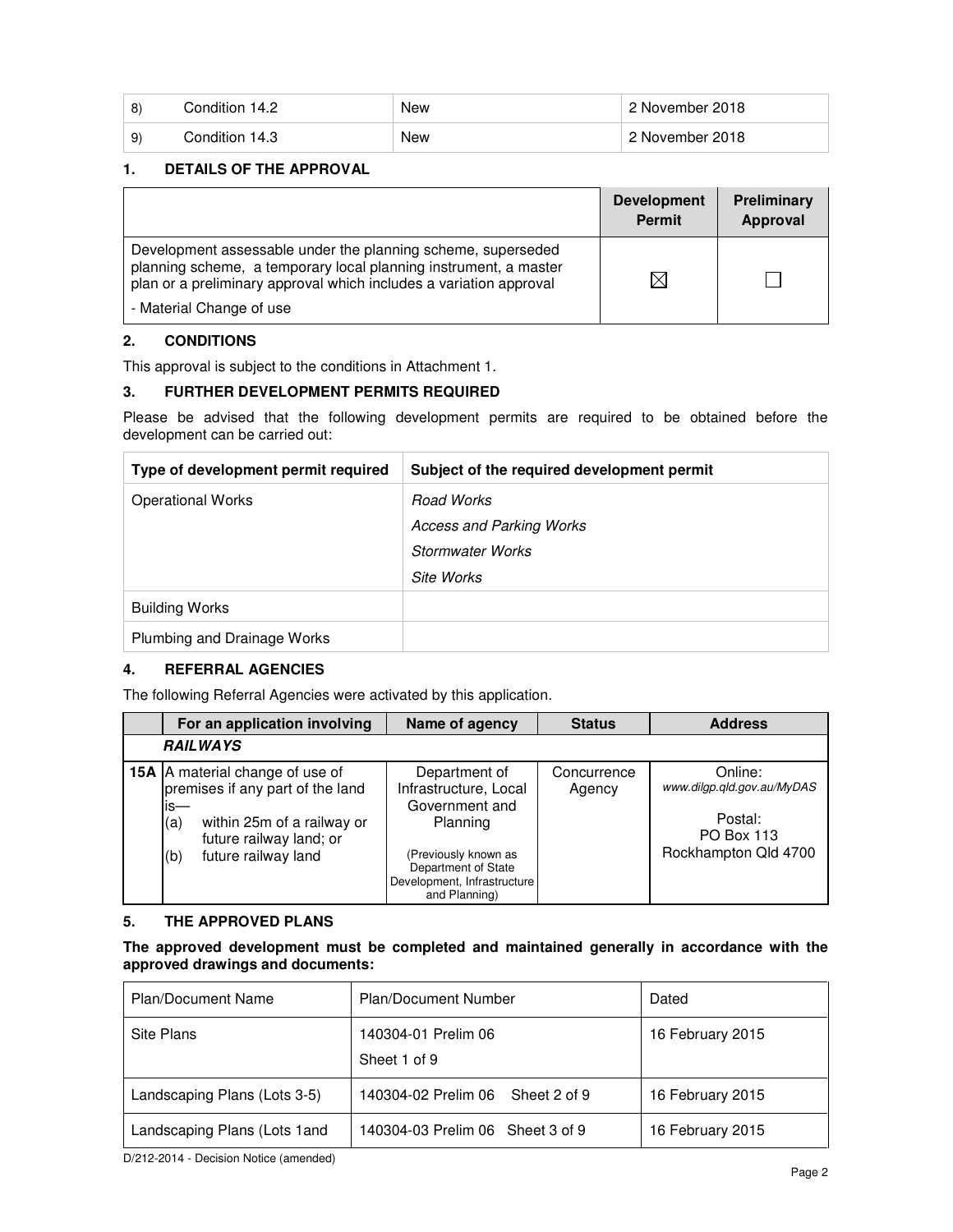| 8) | Condition 14.2 | New | 2 November 2018 |
|----|----------------|-----|-----------------|
| 9) | Condition 14.3 | New | 2 November 2018 |

#### **1. DETAILS OF THE APPROVAL**

|                                                                                                                                                                                                        | <b>Development</b><br><b>Permit</b> | Preliminary<br>Approval |
|--------------------------------------------------------------------------------------------------------------------------------------------------------------------------------------------------------|-------------------------------------|-------------------------|
| Development assessable under the planning scheme, superseded<br>planning scheme, a temporary local planning instrument, a master<br>plan or a preliminary approval which includes a variation approval | IX                                  |                         |
| - Material Change of use                                                                                                                                                                               |                                     |                         |

#### **2. CONDITIONS**

This approval is subject to the conditions in Attachment 1.

#### **3. FURTHER DEVELOPMENT PERMITS REQUIRED**

Please be advised that the following development permits are required to be obtained before the development can be carried out:

| Type of development permit required | Subject of the required development permit    |
|-------------------------------------|-----------------------------------------------|
| <b>Operational Works</b>            | Road Works<br><b>Access and Parking Works</b> |
|                                     | <b>Stormwater Works</b>                       |
|                                     | Site Works                                    |
| <b>Building Works</b>               |                                               |
| Plumbing and Drainage Works         |                                               |

#### **4. REFERRAL AGENCIES**

The following Referral Agencies were activated by this application.

| For an application involving                                                                                                                                                    | Name of agency                                                                                                                                                      | <b>Status</b>         | <b>Address</b>                                                                                |
|---------------------------------------------------------------------------------------------------------------------------------------------------------------------------------|---------------------------------------------------------------------------------------------------------------------------------------------------------------------|-----------------------|-----------------------------------------------------------------------------------------------|
| <b>RAILWAYS</b>                                                                                                                                                                 |                                                                                                                                                                     |                       |                                                                                               |
| <b>15A</b> A material change of use of<br>premises if any part of the land<br>is—<br>within 25m of a railway or<br>(a)<br>future railway land; or<br>future railway land<br>(b) | Department of<br>Infrastructure, Local<br>Government and<br>Planning<br>(Previously known as<br>Department of State<br>Development, Infrastructure<br>and Planning) | Concurrence<br>Agency | Online:<br>www.dilgp.gld.gov.au/MyDAS<br>Postal:<br><b>PO Box 113</b><br>Rockhampton Qld 4700 |

#### **5. THE APPROVED PLANS**

#### **The approved development must be completed and maintained generally in accordance with the approved drawings and documents:**

| <b>Plan/Document Name</b>     | <b>Plan/Document Number</b>         | Dated            |
|-------------------------------|-------------------------------------|------------------|
| Site Plans                    | 140304-01 Prelim 06<br>Sheet 1 of 9 | 16 February 2015 |
| Landscaping Plans (Lots 3-5)  | 140304-02 Prelim 06<br>Sheet 2 of 9 | 16 February 2015 |
| Landscaping Plans (Lots 1 and | 140304-03 Prelim 06 Sheet 3 of 9    | 16 February 2015 |

D/212-2014 - Decision Notice (amended)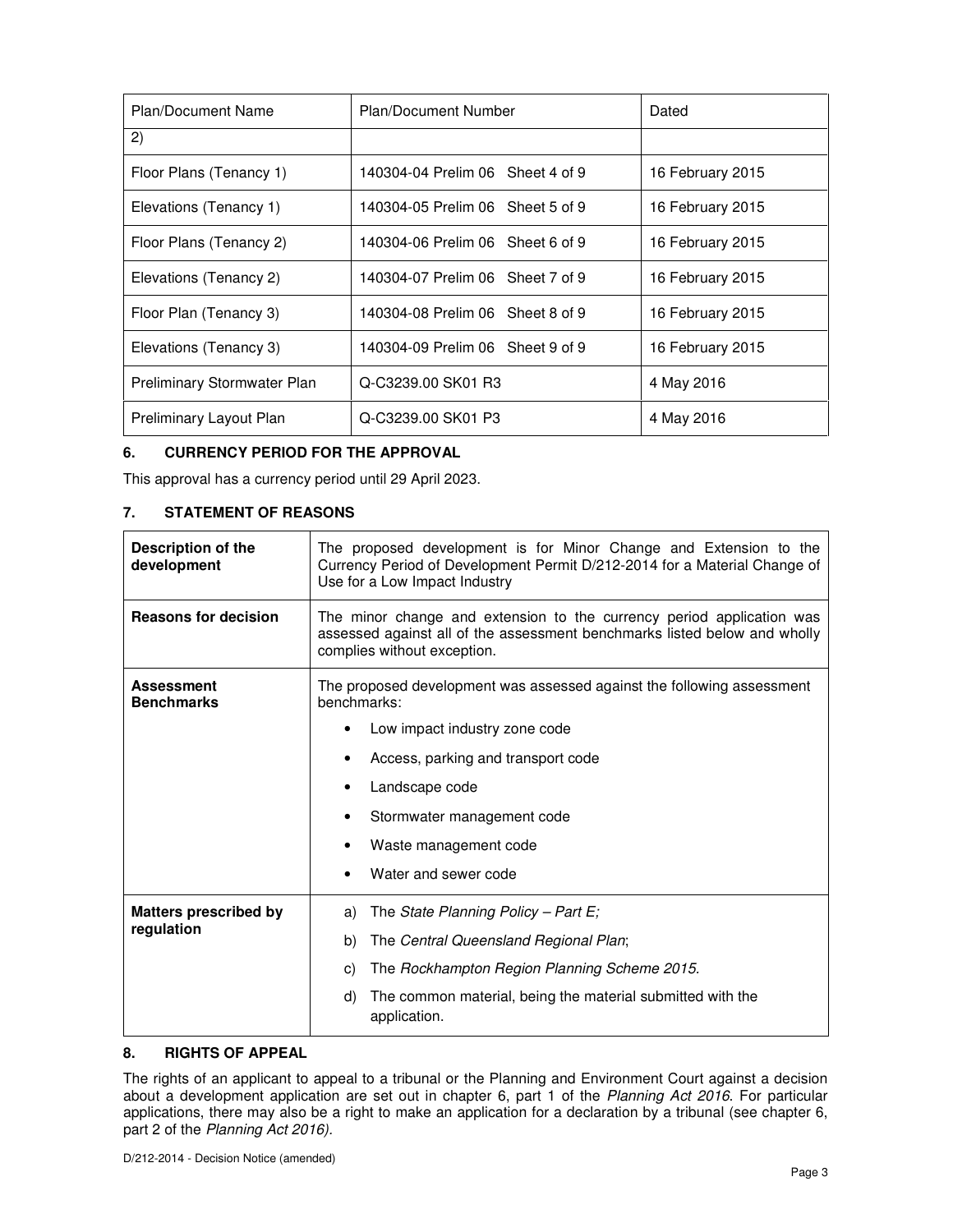| <b>Plan/Document Name</b>   | Plan/Document Number             | Dated            |
|-----------------------------|----------------------------------|------------------|
| 2)                          |                                  |                  |
| Floor Plans (Tenancy 1)     | 140304-04 Prelim 06 Sheet 4 of 9 | 16 February 2015 |
| Elevations (Tenancy 1)      | 140304-05 Prelim 06 Sheet 5 of 9 | 16 February 2015 |
| Floor Plans (Tenancy 2)     | 140304-06 Prelim 06 Sheet 6 of 9 | 16 February 2015 |
| Elevations (Tenancy 2)      | 140304-07 Prelim 06 Sheet 7 of 9 | 16 February 2015 |
| Floor Plan (Tenancy 3)      | 140304-08 Prelim 06 Sheet 8 of 9 | 16 February 2015 |
| Elevations (Tenancy 3)      | 140304-09 Prelim 06 Sheet 9 of 9 | 16 February 2015 |
| Preliminary Stormwater Plan | Q-C3239.00 SK01 R3               | 4 May 2016       |
| Preliminary Layout Plan     | Q-C3239.00 SK01 P3               | 4 May 2016       |

# **6. CURRENCY PERIOD FOR THE APPROVAL**

This approval has a currency period until 29 April 2023.

#### **7. STATEMENT OF REASONS**

| <b>Description of the</b><br>development | The proposed development is for Minor Change and Extension to the<br>Currency Period of Development Permit D/212-2014 for a Material Change of<br>Use for a Low Impact Industry   |  |  |
|------------------------------------------|-----------------------------------------------------------------------------------------------------------------------------------------------------------------------------------|--|--|
| <b>Reasons for decision</b>              | The minor change and extension to the currency period application was<br>assessed against all of the assessment benchmarks listed below and wholly<br>complies without exception. |  |  |
| <b>Assessment</b><br><b>Benchmarks</b>   | The proposed development was assessed against the following assessment<br>benchmarks:                                                                                             |  |  |
|                                          | Low impact industry zone code                                                                                                                                                     |  |  |
|                                          | Access, parking and transport code                                                                                                                                                |  |  |
|                                          | Landscape code                                                                                                                                                                    |  |  |
|                                          | Stormwater management code                                                                                                                                                        |  |  |
|                                          | Waste management code                                                                                                                                                             |  |  |
|                                          | Water and sewer code                                                                                                                                                              |  |  |
| <b>Matters prescribed by</b>             | The State Planning Policy - Part $E_i$<br>a)                                                                                                                                      |  |  |
| regulation                               | The Central Queensland Regional Plan;<br>b)                                                                                                                                       |  |  |
|                                          | The Rockhampton Region Planning Scheme 2015.<br>C)                                                                                                                                |  |  |
|                                          | The common material, being the material submitted with the<br>d)<br>application.                                                                                                  |  |  |

#### **8. RIGHTS OF APPEAL**

The rights of an applicant to appeal to a tribunal or the Planning and Environment Court against a decision about a development application are set out in chapter 6, part 1 of the Planning Act 2016. For particular applications, there may also be a right to make an application for a declaration by a tribunal (see chapter 6, part 2 of the Planning Act 2016).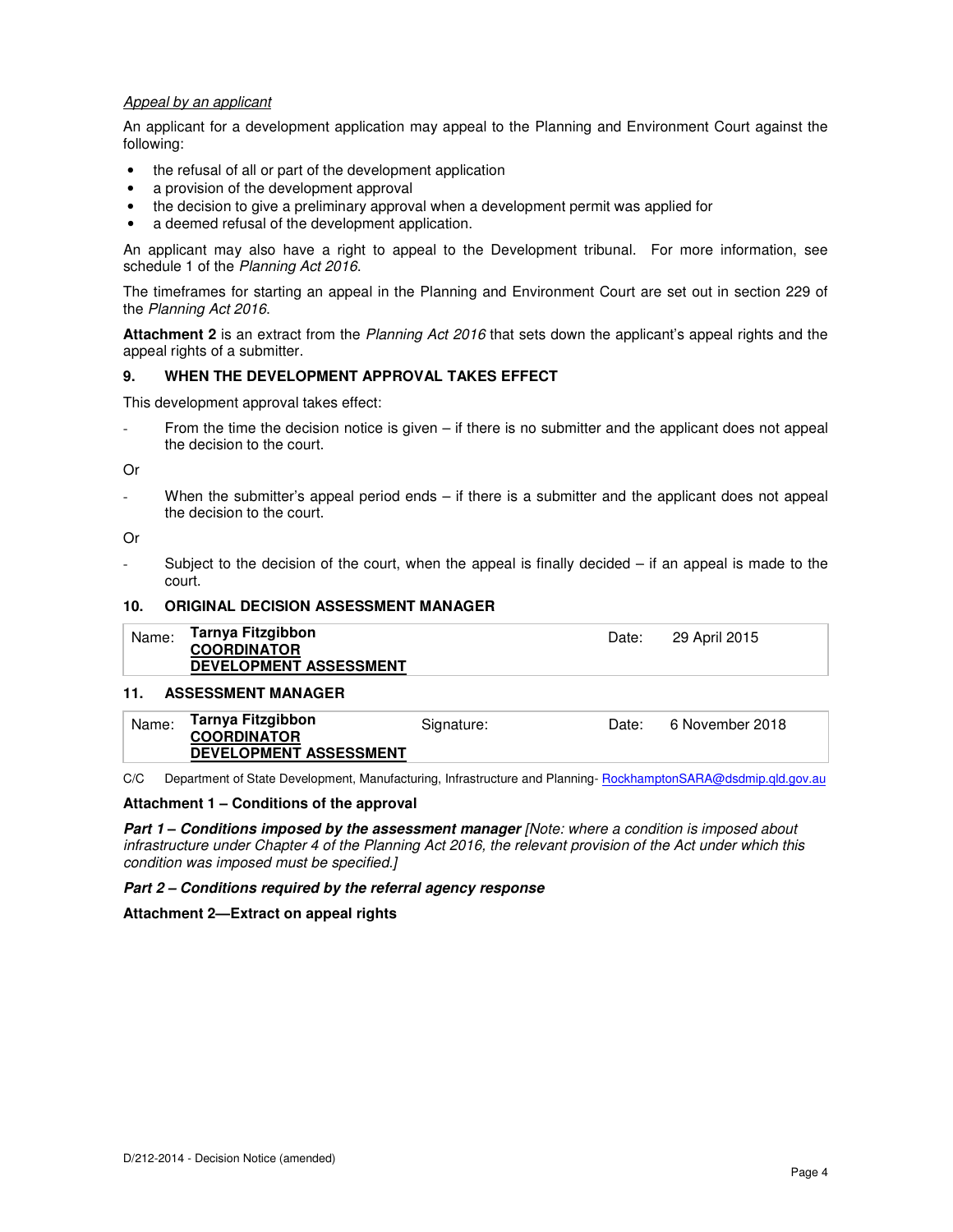#### Appeal by an applicant

An applicant for a development application may appeal to the Planning and Environment Court against the following:

- the refusal of all or part of the development application
- a provision of the development approval
- the decision to give a preliminary approval when a development permit was applied for
- a deemed refusal of the development application.

An applicant may also have a right to appeal to the Development tribunal. For more information, see schedule 1 of the Planning Act 2016.

The timeframes for starting an appeal in the Planning and Environment Court are set out in section 229 of the Planning Act 2016.

**Attachment 2** is an extract from the Planning Act 2016 that sets down the applicant's appeal rights and the appeal rights of a submitter.

#### **9. WHEN THE DEVELOPMENT APPROVAL TAKES EFFECT**

This development approval takes effect:

From the time the decision notice is given  $-$  if there is no submitter and the applicant does not appeal the decision to the court.

Or

When the submitter's appeal period ends  $-$  if there is a submitter and the applicant does not appeal the decision to the court.

Or

Subject to the decision of the court, when the appeal is finally decided  $-$  if an appeal is made to the court.

# **10. ORIGINAL DECISION ASSESSMENT MANAGER**

| Tarnya Fitzgibbon<br>Name:<br>29 April 2015<br>Date:<br><b>COORDINATOR</b><br><b>DEVELOPMENT ASSESSMENT</b> |
|-------------------------------------------------------------------------------------------------------------|
|-------------------------------------------------------------------------------------------------------------|

#### **11. ASSESSMENT MANAGER**

| Tarnya Fitzgibbon<br>Name:<br>6 November 2018<br>Signature:<br>Date:<br><b>COORDINATOR</b><br><b>DEVELOPMENT ASSESSMENT</b> |
|-----------------------------------------------------------------------------------------------------------------------------|
|-----------------------------------------------------------------------------------------------------------------------------|

C/C Department of State Development, Manufacturing, Infrastructure and Planning- RockhamptonSARA@dsdmip.qld.gov.au

#### **Attachment 1 – Conditions of the approval**

**Part 1 – Conditions imposed by the assessment manager [Note: where a condition is imposed about** infrastructure under Chapter 4 of the Planning Act 2016, the relevant provision of the Act under which this condition was imposed must be specified.]

**Part 2 – Conditions required by the referral agency response** 

**Attachment 2—Extract on appeal rights**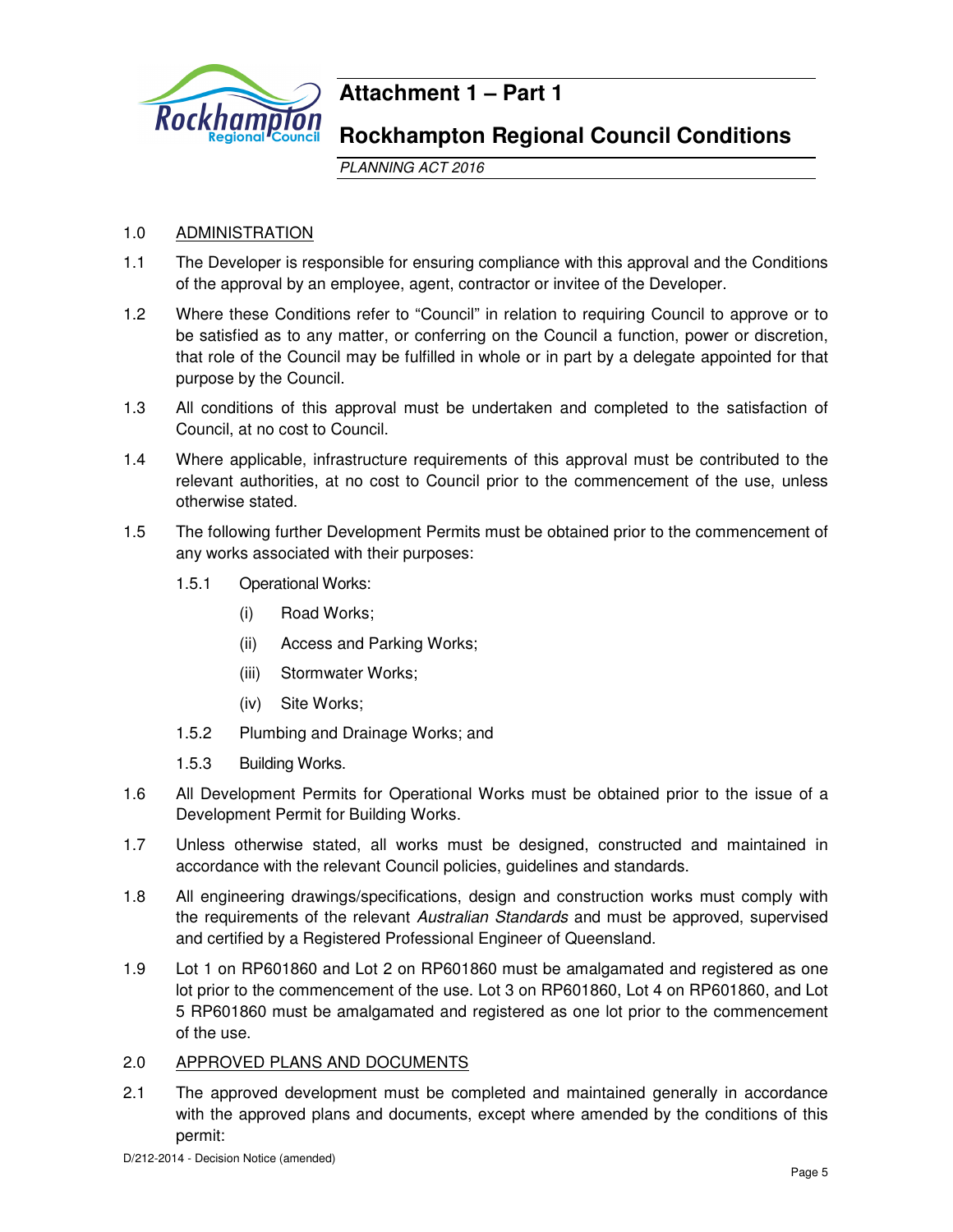

# **Attachment 1 – Part 1**

# **Rockhampton Regional Council Conditions**

PLANNING ACT 2016

# 1.0 ADMINISTRATION

- 1.1 The Developer is responsible for ensuring compliance with this approval and the Conditions of the approval by an employee, agent, contractor or invitee of the Developer.
- 1.2 Where these Conditions refer to "Council" in relation to requiring Council to approve or to be satisfied as to any matter, or conferring on the Council a function, power or discretion, that role of the Council may be fulfilled in whole or in part by a delegate appointed for that purpose by the Council.
- 1.3 All conditions of this approval must be undertaken and completed to the satisfaction of Council, at no cost to Council.
- 1.4 Where applicable, infrastructure requirements of this approval must be contributed to the relevant authorities, at no cost to Council prior to the commencement of the use, unless otherwise stated.
- 1.5 The following further Development Permits must be obtained prior to the commencement of any works associated with their purposes:
	- 1.5.1 Operational Works:
		- (i) Road Works;
		- (ii) Access and Parking Works;
		- (iii) Stormwater Works;
		- (iv) Site Works;
	- 1.5.2 Plumbing and Drainage Works; and
	- 1.5.3 Building Works.
- 1.6 All Development Permits for Operational Works must be obtained prior to the issue of a Development Permit for Building Works.
- 1.7 Unless otherwise stated, all works must be designed, constructed and maintained in accordance with the relevant Council policies, guidelines and standards.
- 1.8 All engineering drawings/specifications, design and construction works must comply with the requirements of the relevant Australian Standards and must be approved, supervised and certified by a Registered Professional Engineer of Queensland.
- 1.9 Lot 1 on RP601860 and Lot 2 on RP601860 must be amalgamated and registered as one lot prior to the commencement of the use. Lot 3 on RP601860, Lot 4 on RP601860, and Lot 5 RP601860 must be amalgamated and registered as one lot prior to the commencement of the use.
- 2.0 APPROVED PLANS AND DOCUMENTS
- 2.1 The approved development must be completed and maintained generally in accordance with the approved plans and documents, except where amended by the conditions of this permit: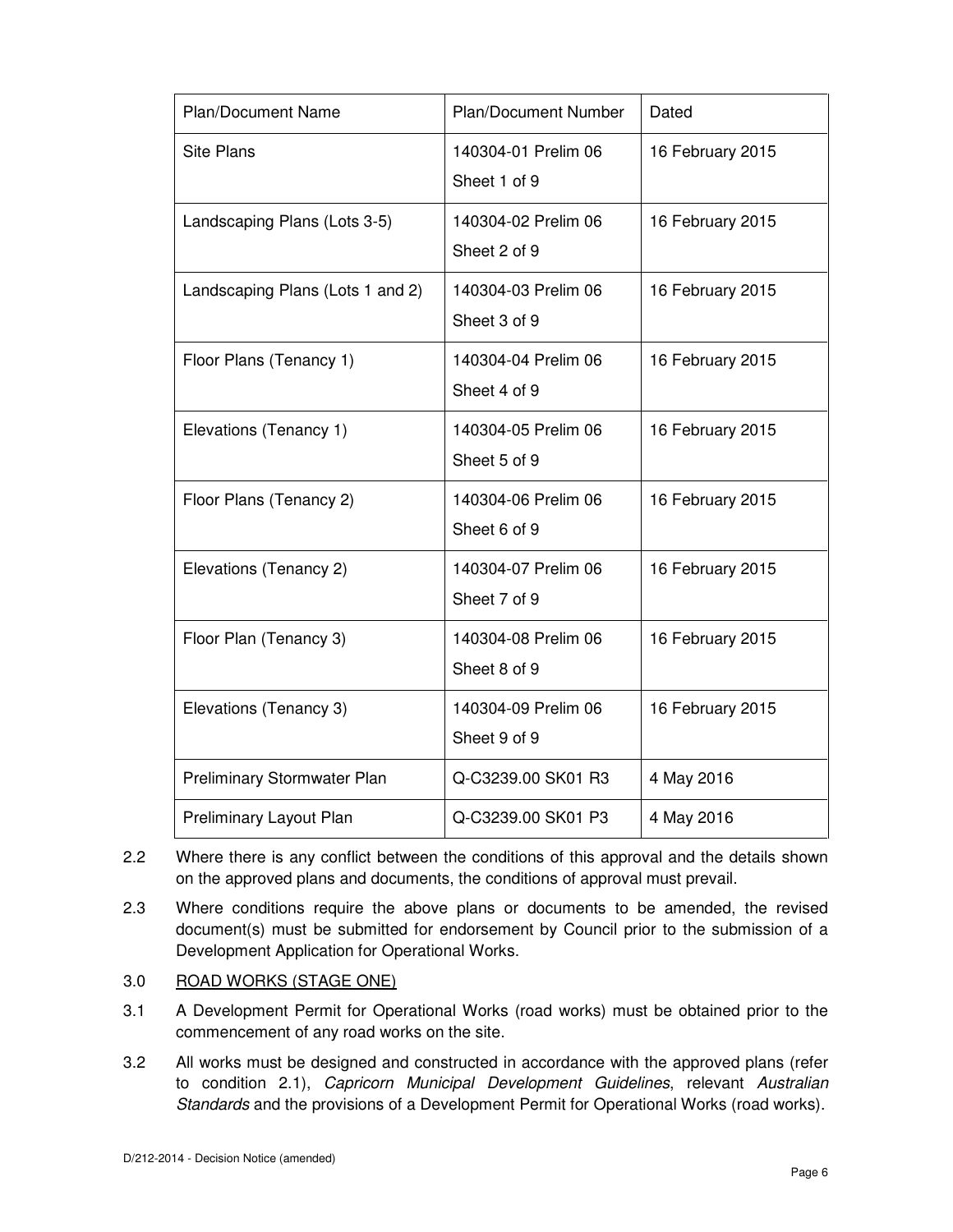| <b>Plan/Document Name</b>        | Plan/Document Number                | Dated            |
|----------------------------------|-------------------------------------|------------------|
| <b>Site Plans</b>                | 140304-01 Prelim 06<br>Sheet 1 of 9 | 16 February 2015 |
| Landscaping Plans (Lots 3-5)     | 140304-02 Prelim 06<br>Sheet 2 of 9 | 16 February 2015 |
| Landscaping Plans (Lots 1 and 2) | 140304-03 Prelim 06<br>Sheet 3 of 9 | 16 February 2015 |
| Floor Plans (Tenancy 1)          | 140304-04 Prelim 06<br>Sheet 4 of 9 | 16 February 2015 |
| Elevations (Tenancy 1)           | 140304-05 Prelim 06<br>Sheet 5 of 9 | 16 February 2015 |
| Floor Plans (Tenancy 2)          | 140304-06 Prelim 06<br>Sheet 6 of 9 | 16 February 2015 |
| Elevations (Tenancy 2)           | 140304-07 Prelim 06<br>Sheet 7 of 9 | 16 February 2015 |
| Floor Plan (Tenancy 3)           | 140304-08 Prelim 06<br>Sheet 8 of 9 | 16 February 2015 |
| Elevations (Tenancy 3)           | 140304-09 Prelim 06<br>Sheet 9 of 9 | 16 February 2015 |
| Preliminary Stormwater Plan      | Q-C3239.00 SK01 R3                  | 4 May 2016       |
| Preliminary Layout Plan          | Q-C3239.00 SK01 P3                  | 4 May 2016       |

- 2.2 Where there is any conflict between the conditions of this approval and the details shown on the approved plans and documents, the conditions of approval must prevail.
- 2.3 Where conditions require the above plans or documents to be amended, the revised document(s) must be submitted for endorsement by Council prior to the submission of a Development Application for Operational Works.
- 3.0 ROAD WORKS (STAGE ONE)
- 3.1 A Development Permit for Operational Works (road works) must be obtained prior to the commencement of any road works on the site.
- 3.2 All works must be designed and constructed in accordance with the approved plans (refer to condition 2.1), Capricorn Municipal Development Guidelines, relevant Australian Standards and the provisions of a Development Permit for Operational Works (road works).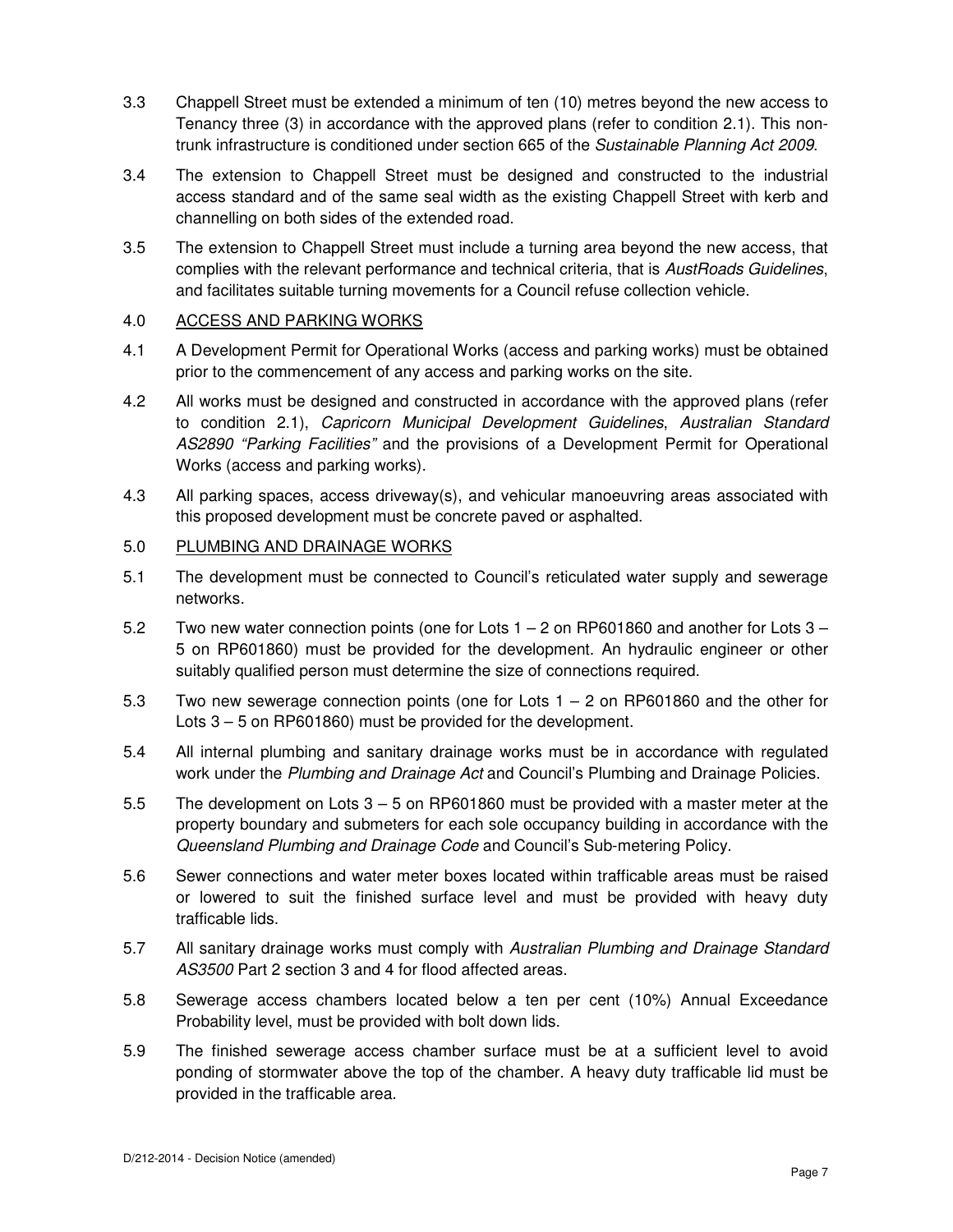- 3.3 Chappell Street must be extended a minimum of ten (10) metres beyond the new access to Tenancy three (3) in accordance with the approved plans (refer to condition 2.1). This nontrunk infrastructure is conditioned under section 665 of the Sustainable Planning Act 2009.
- 3.4 The extension to Chappell Street must be designed and constructed to the industrial access standard and of the same seal width as the existing Chappell Street with kerb and channelling on both sides of the extended road.
- 3.5 The extension to Chappell Street must include a turning area beyond the new access, that complies with the relevant performance and technical criteria, that is AustRoads Guidelines, and facilitates suitable turning movements for a Council refuse collection vehicle.

# 4.0 ACCESS AND PARKING WORKS

- 4.1 A Development Permit for Operational Works (access and parking works) must be obtained prior to the commencement of any access and parking works on the site.
- 4.2 All works must be designed and constructed in accordance with the approved plans (refer to condition 2.1), Capricorn Municipal Development Guidelines, Australian Standard AS2890 "Parking Facilities" and the provisions of a Development Permit for Operational Works (access and parking works).
- 4.3 All parking spaces, access driveway(s), and vehicular manoeuvring areas associated with this proposed development must be concrete paved or asphalted.

# 5.0 PLUMBING AND DRAINAGE WORKS

- 5.1 The development must be connected to Council's reticulated water supply and sewerage networks.
- 5.2 Two new water connection points (one for Lots  $1 2$  on RP601860 and another for Lots  $3 -$ 5 on RP601860) must be provided for the development. An hydraulic engineer or other suitably qualified person must determine the size of connections required.
- 5.3 Two new sewerage connection points (one for Lots 1 2 on RP601860 and the other for Lots 3 – 5 on RP601860) must be provided for the development.
- 5.4 All internal plumbing and sanitary drainage works must be in accordance with regulated work under the Plumbing and Drainage Act and Council's Plumbing and Drainage Policies.
- 5.5 The development on Lots 3 5 on RP601860 must be provided with a master meter at the property boundary and submeters for each sole occupancy building in accordance with the Queensland Plumbing and Drainage Code and Council's Sub-metering Policy.
- 5.6 Sewer connections and water meter boxes located within trafficable areas must be raised or lowered to suit the finished surface level and must be provided with heavy duty trafficable lids.
- 5.7 All sanitary drainage works must comply with Australian Plumbing and Drainage Standard AS3500 Part 2 section 3 and 4 for flood affected areas.
- 5.8 Sewerage access chambers located below a ten per cent (10%) Annual Exceedance Probability level, must be provided with bolt down lids.
- 5.9 The finished sewerage access chamber surface must be at a sufficient level to avoid ponding of stormwater above the top of the chamber. A heavy duty trafficable lid must be provided in the trafficable area.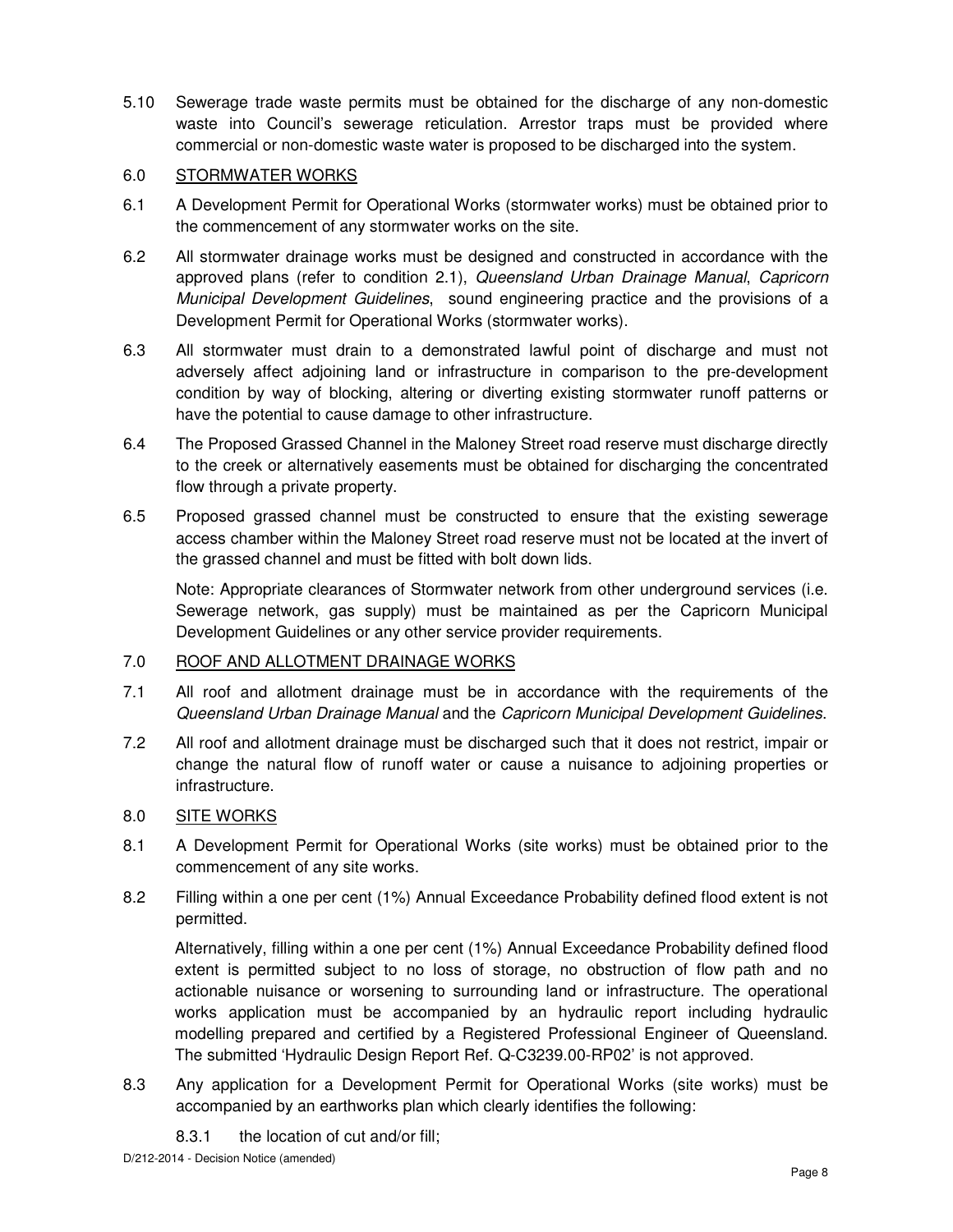5.10 Sewerage trade waste permits must be obtained for the discharge of any non-domestic waste into Council's sewerage reticulation. Arrestor traps must be provided where commercial or non-domestic waste water is proposed to be discharged into the system.

# 6.0 STORMWATER WORKS

- 6.1 A Development Permit for Operational Works (stormwater works) must be obtained prior to the commencement of any stormwater works on the site.
- 6.2 All stormwater drainage works must be designed and constructed in accordance with the approved plans (refer to condition 2.1), Queensland Urban Drainage Manual, Capricorn Municipal Development Guidelines, sound engineering practice and the provisions of a Development Permit for Operational Works (stormwater works).
- 6.3 All stormwater must drain to a demonstrated lawful point of discharge and must not adversely affect adjoining land or infrastructure in comparison to the pre-development condition by way of blocking, altering or diverting existing stormwater runoff patterns or have the potential to cause damage to other infrastructure.
- 6.4 The Proposed Grassed Channel in the Maloney Street road reserve must discharge directly to the creek or alternatively easements must be obtained for discharging the concentrated flow through a private property.
- 6.5 Proposed grassed channel must be constructed to ensure that the existing sewerage access chamber within the Maloney Street road reserve must not be located at the invert of the grassed channel and must be fitted with bolt down lids.

Note: Appropriate clearances of Stormwater network from other underground services (i.e. Sewerage network, gas supply) must be maintained as per the Capricorn Municipal Development Guidelines or any other service provider requirements.

# 7.0 ROOF AND ALLOTMENT DRAINAGE WORKS

- 7.1 All roof and allotment drainage must be in accordance with the requirements of the Queensland Urban Drainage Manual and the Capricorn Municipal Development Guidelines.
- 7.2 All roof and allotment drainage must be discharged such that it does not restrict, impair or change the natural flow of runoff water or cause a nuisance to adjoining properties or infrastructure.

#### 8.0 SITE WORKS

- 8.1 A Development Permit for Operational Works (site works) must be obtained prior to the commencement of any site works.
- 8.2 Filling within a one per cent (1%) Annual Exceedance Probability defined flood extent is not permitted.

Alternatively, filling within a one per cent (1%) Annual Exceedance Probability defined flood extent is permitted subject to no loss of storage, no obstruction of flow path and no actionable nuisance or worsening to surrounding land or infrastructure. The operational works application must be accompanied by an hydraulic report including hydraulic modelling prepared and certified by a Registered Professional Engineer of Queensland. The submitted 'Hydraulic Design Report Ref. Q-C3239.00-RP02' is not approved.

- 8.3 Any application for a Development Permit for Operational Works (site works) must be accompanied by an earthworks plan which clearly identifies the following:
	- 8.3.1 the location of cut and/or fill;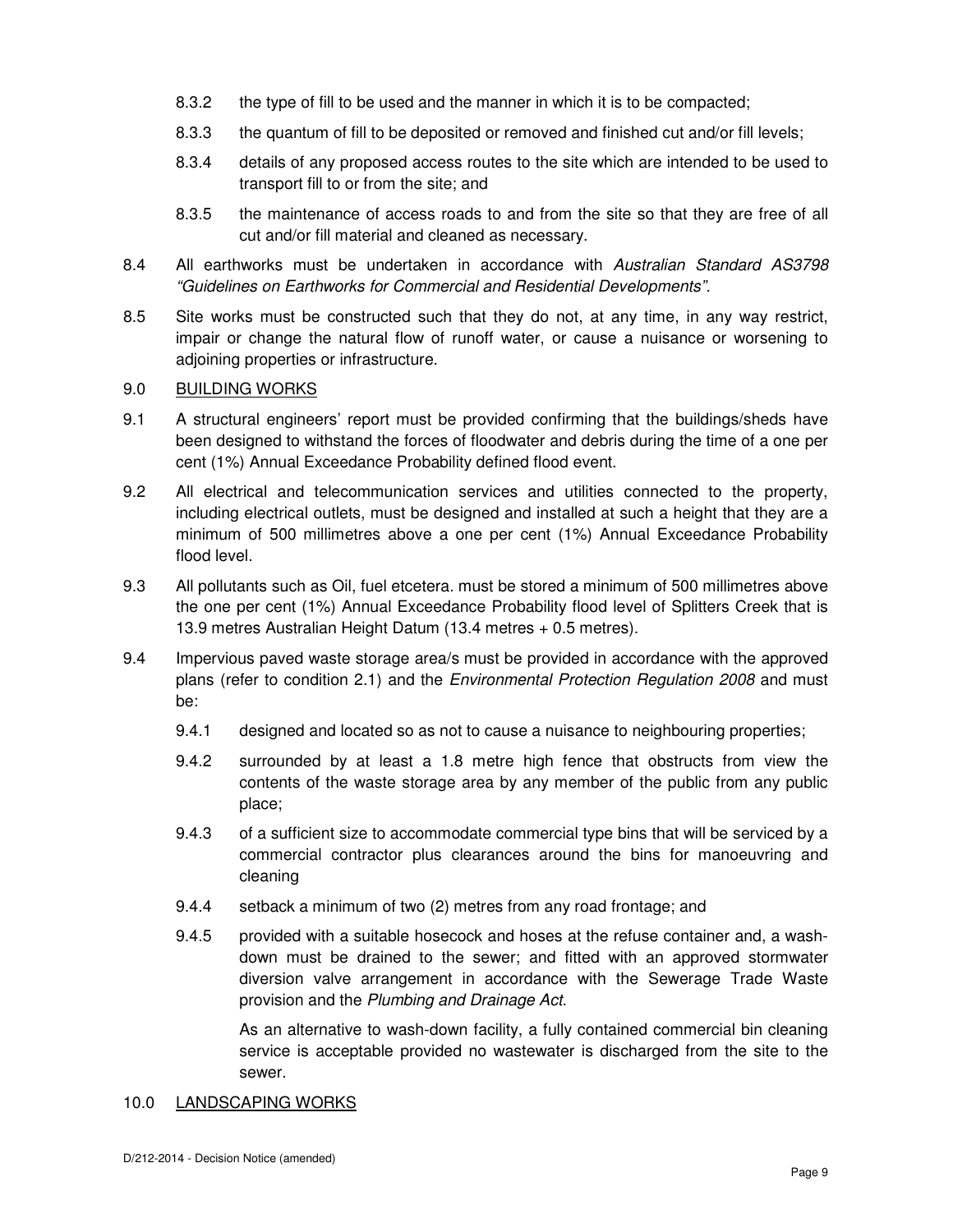- 8.3.2 the type of fill to be used and the manner in which it is to be compacted;
- 8.3.3 the quantum of fill to be deposited or removed and finished cut and/or fill levels;
- 8.3.4 details of any proposed access routes to the site which are intended to be used to transport fill to or from the site; and
- 8.3.5 the maintenance of access roads to and from the site so that they are free of all cut and/or fill material and cleaned as necessary.
- 8.4 All earthworks must be undertaken in accordance with Australian Standard AS3798 "Guidelines on Earthworks for Commercial and Residential Developments".
- 8.5 Site works must be constructed such that they do not, at any time, in any way restrict, impair or change the natural flow of runoff water, or cause a nuisance or worsening to adjoining properties or infrastructure.

# 9.0 BUILDING WORKS

- 9.1 A structural engineers' report must be provided confirming that the buildings/sheds have been designed to withstand the forces of floodwater and debris during the time of a one per cent (1%) Annual Exceedance Probability defined flood event.
- 9.2 All electrical and telecommunication services and utilities connected to the property, including electrical outlets, must be designed and installed at such a height that they are a minimum of 500 millimetres above a one per cent (1%) Annual Exceedance Probability flood level.
- 9.3 All pollutants such as Oil, fuel etcetera. must be stored a minimum of 500 millimetres above the one per cent (1%) Annual Exceedance Probability flood level of Splitters Creek that is 13.9 metres Australian Height Datum (13.4 metres + 0.5 metres).
- 9.4 Impervious paved waste storage area/s must be provided in accordance with the approved plans (refer to condition 2.1) and the Environmental Protection Regulation 2008 and must be:
	- 9.4.1 designed and located so as not to cause a nuisance to neighbouring properties;
	- 9.4.2 surrounded by at least a 1.8 metre high fence that obstructs from view the contents of the waste storage area by any member of the public from any public place;
	- 9.4.3 of a sufficient size to accommodate commercial type bins that will be serviced by a commercial contractor plus clearances around the bins for manoeuvring and cleaning
	- 9.4.4 setback a minimum of two (2) metres from any road frontage; and
	- 9.4.5 provided with a suitable hosecock and hoses at the refuse container and, a washdown must be drained to the sewer; and fitted with an approved stormwater diversion valve arrangement in accordance with the Sewerage Trade Waste provision and the Plumbing and Drainage Act.

As an alternative to wash-down facility, a fully contained commercial bin cleaning service is acceptable provided no wastewater is discharged from the site to the sewer.

#### 10.0 LANDSCAPING WORKS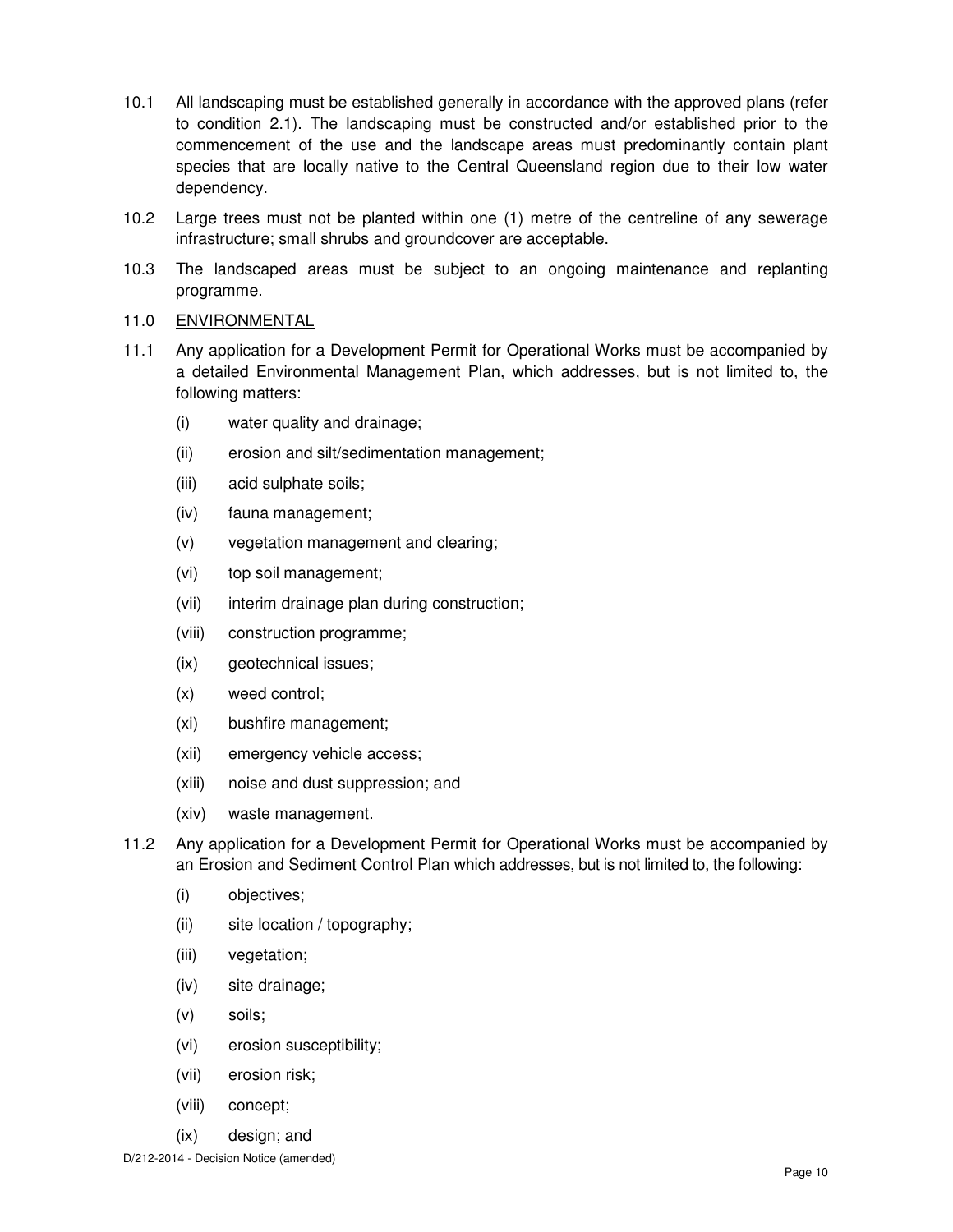- 10.1 All landscaping must be established generally in accordance with the approved plans (refer to condition 2.1). The landscaping must be constructed and/or established prior to the commencement of the use and the landscape areas must predominantly contain plant species that are locally native to the Central Queensland region due to their low water dependency.
- 10.2 Large trees must not be planted within one (1) metre of the centreline of any sewerage infrastructure; small shrubs and groundcover are acceptable.
- 10.3 The landscaped areas must be subject to an ongoing maintenance and replanting programme.
- 11.0 ENVIRONMENTAL
- 11.1 Any application for a Development Permit for Operational Works must be accompanied by a detailed Environmental Management Plan, which addresses, but is not limited to, the following matters:
	- (i) water quality and drainage;
	- (ii) erosion and silt/sedimentation management;
	- (iii) acid sulphate soils;
	- (iv) fauna management;
	- (v) vegetation management and clearing;
	- (vi) top soil management;
	- (vii) interim drainage plan during construction;
	- (viii) construction programme;
	- (ix) geotechnical issues;
	- (x) weed control;
	- (xi) bushfire management;
	- (xii) emergency vehicle access;
	- (xiii) noise and dust suppression; and
	- (xiv) waste management.
- 11.2 Any application for a Development Permit for Operational Works must be accompanied by an Erosion and Sediment Control Plan which addresses, but is not limited to, the following:
	- (i) objectives;
	- (ii) site location / topography;
	- (iii) vegetation;
	- (iv) site drainage;
	- (v) soils;
	- (vi) erosion susceptibility;
	- (vii) erosion risk;
	- (viii) concept;
	- (ix) design; and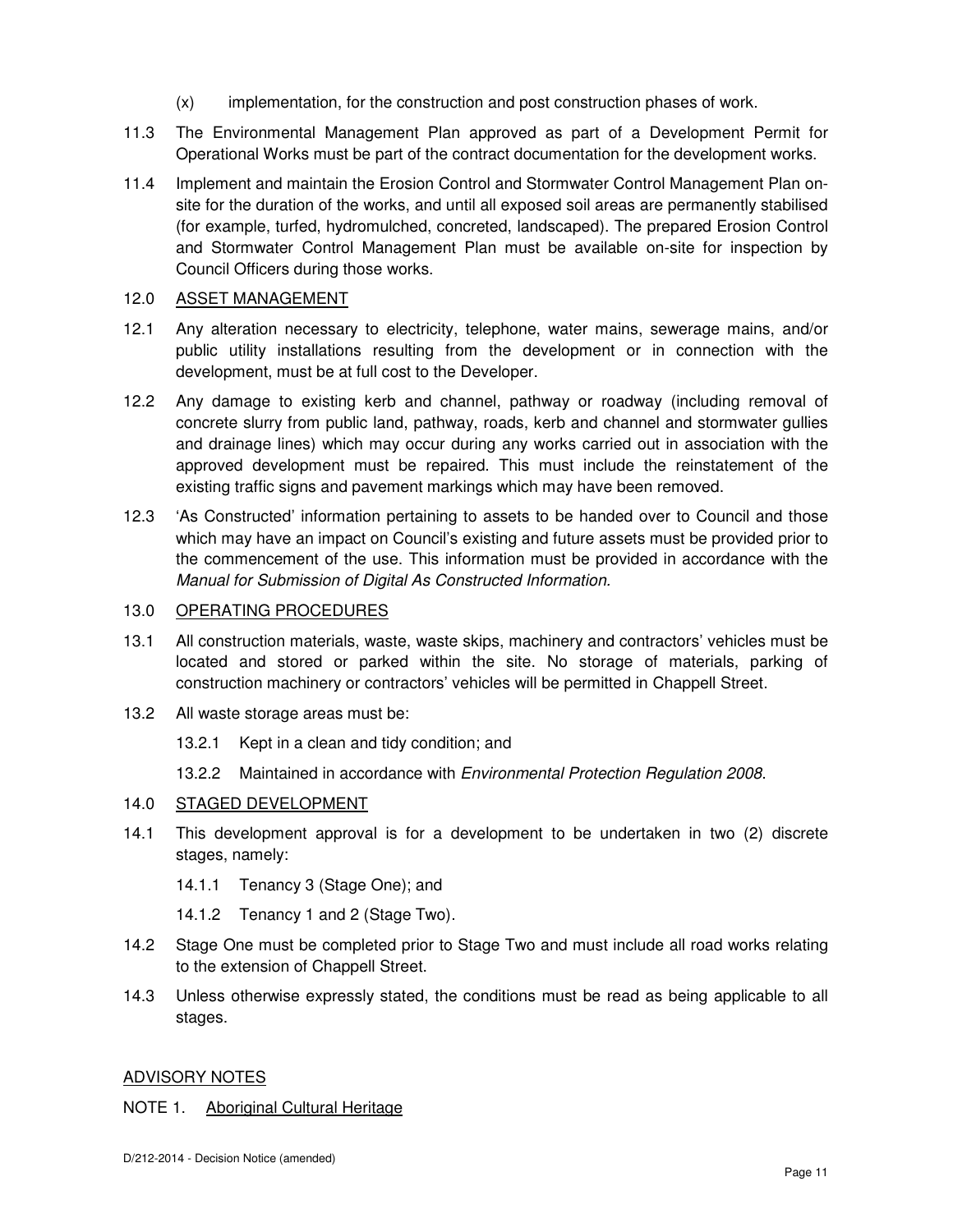- (x) implementation, for the construction and post construction phases of work.
- 11.3 The Environmental Management Plan approved as part of a Development Permit for Operational Works must be part of the contract documentation for the development works.
- 11.4 Implement and maintain the Erosion Control and Stormwater Control Management Plan onsite for the duration of the works, and until all exposed soil areas are permanently stabilised (for example, turfed, hydromulched, concreted, landscaped). The prepared Erosion Control and Stormwater Control Management Plan must be available on-site for inspection by Council Officers during those works.

# 12.0 ASSET MANAGEMENT

- 12.1 Any alteration necessary to electricity, telephone, water mains, sewerage mains, and/or public utility installations resulting from the development or in connection with the development, must be at full cost to the Developer.
- 12.2 Any damage to existing kerb and channel, pathway or roadway (including removal of concrete slurry from public land, pathway, roads, kerb and channel and stormwater gullies and drainage lines) which may occur during any works carried out in association with the approved development must be repaired. This must include the reinstatement of the existing traffic signs and pavement markings which may have been removed.
- 12.3 'As Constructed' information pertaining to assets to be handed over to Council and those which may have an impact on Council's existing and future assets must be provided prior to the commencement of the use. This information must be provided in accordance with the Manual for Submission of Digital As Constructed Information.

# 13.0 OPERATING PROCEDURES

- 13.1 All construction materials, waste, waste skips, machinery and contractors' vehicles must be located and stored or parked within the site. No storage of materials, parking of construction machinery or contractors' vehicles will be permitted in Chappell Street.
- 13.2 All waste storage areas must be:
	- 13.2.1 Kept in a clean and tidy condition; and
	- 13.2.2 Maintained in accordance with *Environmental Protection Regulation 2008*.

# 14.0 STAGED DEVELOPMENT

- 14.1 This development approval is for a development to be undertaken in two (2) discrete stages, namely:
	- 14.1.1 Tenancy 3 (Stage One); and
	- 14.1.2 Tenancy 1 and 2 (Stage Two).
- 14.2 Stage One must be completed prior to Stage Two and must include all road works relating to the extension of Chappell Street.
- 14.3 Unless otherwise expressly stated, the conditions must be read as being applicable to all stages.

# ADVISORY NOTES

# NOTE 1. Aboriginal Cultural Heritage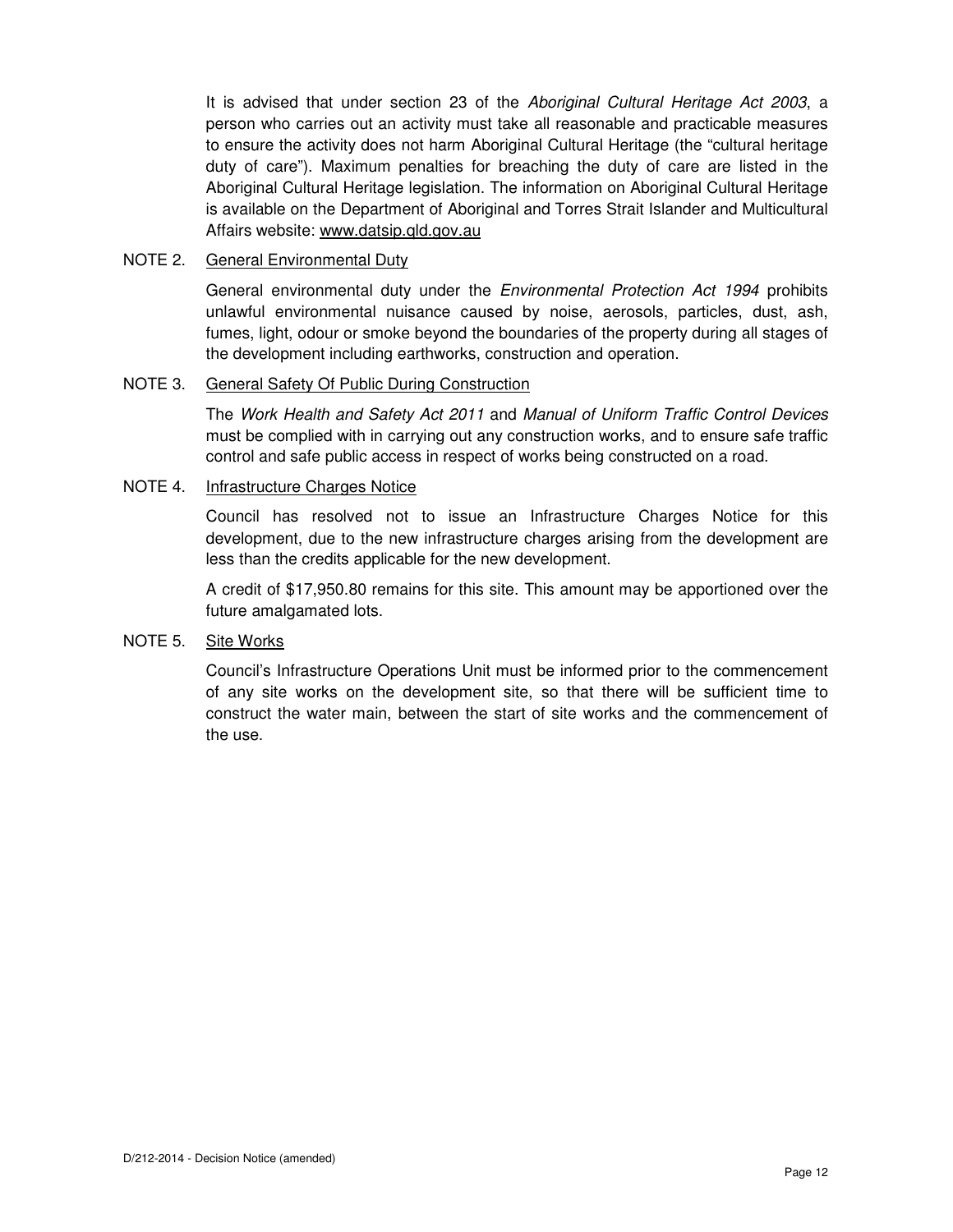It is advised that under section 23 of the Aboriginal Cultural Heritage Act 2003, a person who carries out an activity must take all reasonable and practicable measures to ensure the activity does not harm Aboriginal Cultural Heritage (the "cultural heritage duty of care"). Maximum penalties for breaching the duty of care are listed in the Aboriginal Cultural Heritage legislation. The information on Aboriginal Cultural Heritage is available on the Department of Aboriginal and Torres Strait Islander and Multicultural Affairs website: www.datsip.qld.gov.au

#### NOTE 2. General Environmental Duty

General environmental duty under the *Environmental Protection Act 1994* prohibits unlawful environmental nuisance caused by noise, aerosols, particles, dust, ash, fumes, light, odour or smoke beyond the boundaries of the property during all stages of the development including earthworks, construction and operation.

# NOTE 3. General Safety Of Public During Construction

The Work Health and Safety Act 2011 and Manual of Uniform Traffic Control Devices must be complied with in carrying out any construction works, and to ensure safe traffic control and safe public access in respect of works being constructed on a road.

# NOTE 4. Infrastructure Charges Notice

Council has resolved not to issue an Infrastructure Charges Notice for this development, due to the new infrastructure charges arising from the development are less than the credits applicable for the new development.

A credit of \$17,950.80 remains for this site. This amount may be apportioned over the future amalgamated lots.

# NOTE 5. Site Works

Council's Infrastructure Operations Unit must be informed prior to the commencement of any site works on the development site, so that there will be sufficient time to construct the water main, between the start of site works and the commencement of the use.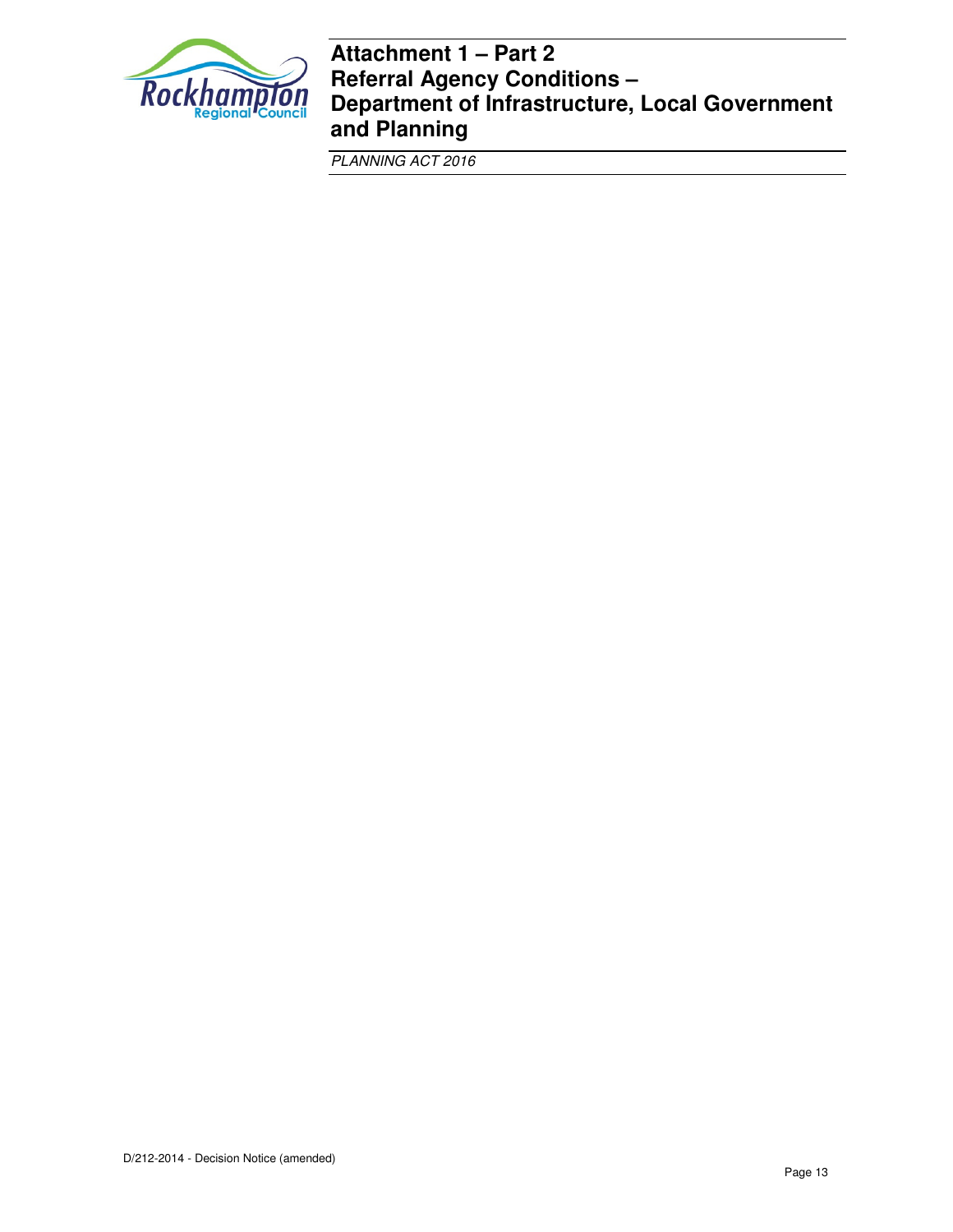

# **Attachment 1 – Part 2 Referral Agency Conditions – Department of Infrastructure, Local Government and Planning**

PLANNING ACT 2016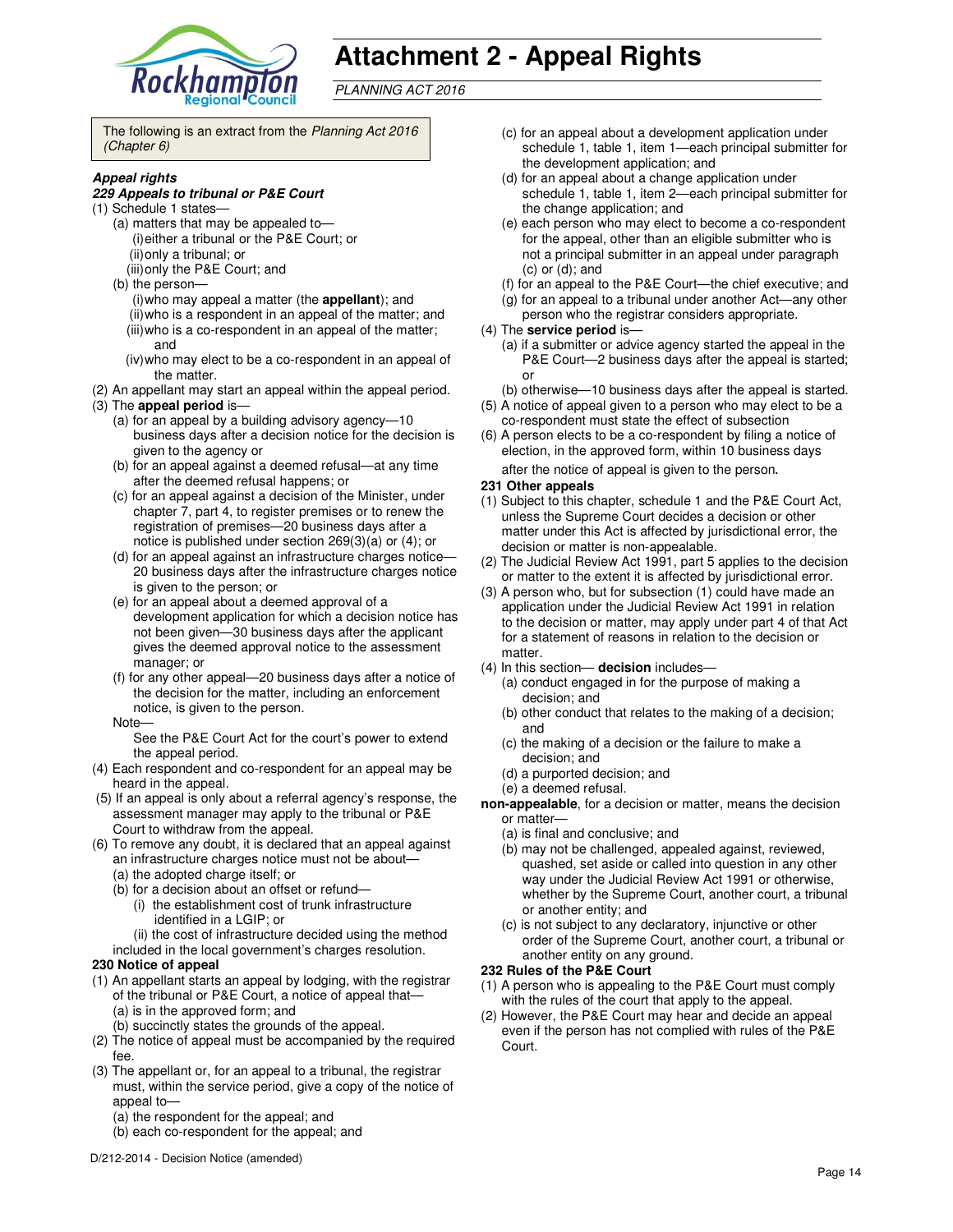

# **Attachment 2 - Appeal Rights**

PLANNING ACT 2016

The following is an extract from the Planning Act 2016 (Chapter 6)

#### **Appeal rights**

#### **229 Appeals to tribunal or P&E Court**

- (1) Schedule 1 states—
	- (a) matters that may be appealed to— (i) either a tribunal or the P&E Court; or (ii) only a tribunal; or (iii) only the P&E Court; and
	- (b) the person—
		- (i) who may appeal a matter (the **appellant**); and (ii) who is a respondent in an appeal of the matter; and (iii) who is a co-respondent in an appeal of the matter; and
		- (iv) who may elect to be a co-respondent in an appeal of the matter.
- (2) An appellant may start an appeal within the appeal period.
- (3) The **appeal period** is—
	- (a) for an appeal by a building advisory agency—10 business days after a decision notice for the decision is given to the agency or
	- (b) for an appeal against a deemed refusal—at any time after the deemed refusal happens; or
	- (c) for an appeal against a decision of the Minister, under chapter 7, part 4, to register premises or to renew the registration of premises—20 business days after a notice is published under section 269(3)(a) or (4); or
	- (d) for an appeal against an infrastructure charges notice— 20 business days after the infrastructure charges notice is given to the person; or
	- (e) for an appeal about a deemed approval of a development application for which a decision notice has not been given—30 business days after the applicant gives the deemed approval notice to the assessment manager; or
	- (f) for any other appeal—20 business days after a notice of the decision for the matter, including an enforcement notice, is given to the person.
	- Note—

See the P&E Court Act for the court's power to extend the appeal period.

- (4) Each respondent and co-respondent for an appeal may be heard in the appeal.
- (5) If an appeal is only about a referral agency's response, the assessment manager may apply to the tribunal or P&E Court to withdraw from the appeal.
- (6) To remove any doubt, it is declared that an appeal against an infrastructure charges notice must not be about—
	- (a) the adopted charge itself; or
	- (b) for a decision about an offset or refund—
		- (i) the establishment cost of trunk infrastructure identified in a LGIP; or
	- (ii) the cost of infrastructure decided using the method included in the local government's charges resolution.

#### **230 Notice of appeal**

- (1) An appellant starts an appeal by lodging, with the registrar of the tribunal or P&E Court, a notice of appeal that— (a) is in the approved form; and
	- (b) succinctly states the grounds of the appeal.
- (2) The notice of appeal must be accompanied by the required fee.
- (3) The appellant or, for an appeal to a tribunal, the registrar must, within the service period, give a copy of the notice of appeal to-
	- (a) the respondent for the appeal; and
	- (b) each co-respondent for the appeal; and
- (c) for an appeal about a development application under schedule 1, table 1, item 1—each principal submitter for the development application; and
- (d) for an appeal about a change application under schedule 1, table 1, item 2—each principal submitter for the change application; and
- (e) each person who may elect to become a co-respondent for the appeal, other than an eligible submitter who is not a principal submitter in an appeal under paragraph (c) or (d); and
- (f) for an appeal to the P&E Court—the chief executive; and
- (g) for an appeal to a tribunal under another Act—any other
- person who the registrar considers appropriate.

#### (4) The **service period** is—

- (a) if a submitter or advice agency started the appeal in the P&E Court-2 business days after the appeal is started; or
- (b) otherwise—10 business days after the appeal is started.
- (5) A notice of appeal given to a person who may elect to be a co-respondent must state the effect of subsection
- (6) A person elects to be a co-respondent by filing a notice of election, in the approved form, within 10 business days after the notice of appeal is given to the person*.*

#### **231 Other appeals**

- (1) Subject to this chapter, schedule 1 and the P&E Court Act, unless the Supreme Court decides a decision or other matter under this Act is affected by jurisdictional error, the decision or matter is non-appealable.
- (2) The Judicial Review Act 1991, part 5 applies to the decision or matter to the extent it is affected by jurisdictional error.
- (3) A person who, but for subsection (1) could have made an application under the Judicial Review Act 1991 in relation to the decision or matter, may apply under part 4 of that Act for a statement of reasons in relation to the decision or matter.
- (4) In this section— **decision** includes—
	- (a) conduct engaged in for the purpose of making a decision; and
	- (b) other conduct that relates to the making of a decision; and
	- (c) the making of a decision or the failure to make a decision; and
	- (d) a purported decision; and
	- (e) a deemed refusal.
- **non-appealable**, for a decision or matter, means the decision or matter—
	- (a) is final and conclusive; and
	- (b) may not be challenged, appealed against, reviewed, quashed, set aside or called into question in any other way under the Judicial Review Act 1991 or otherwise, whether by the Supreme Court, another court, a tribunal or another entity; and
	- (c) is not subject to any declaratory, injunctive or other order of the Supreme Court, another court, a tribunal or another entity on any ground.

#### **232 Rules of the P&E Court**

- (1) A person who is appealing to the P&E Court must comply with the rules of the court that apply to the appeal.
- (2) However, the P&E Court may hear and decide an appeal even if the person has not complied with rules of the P&E Court.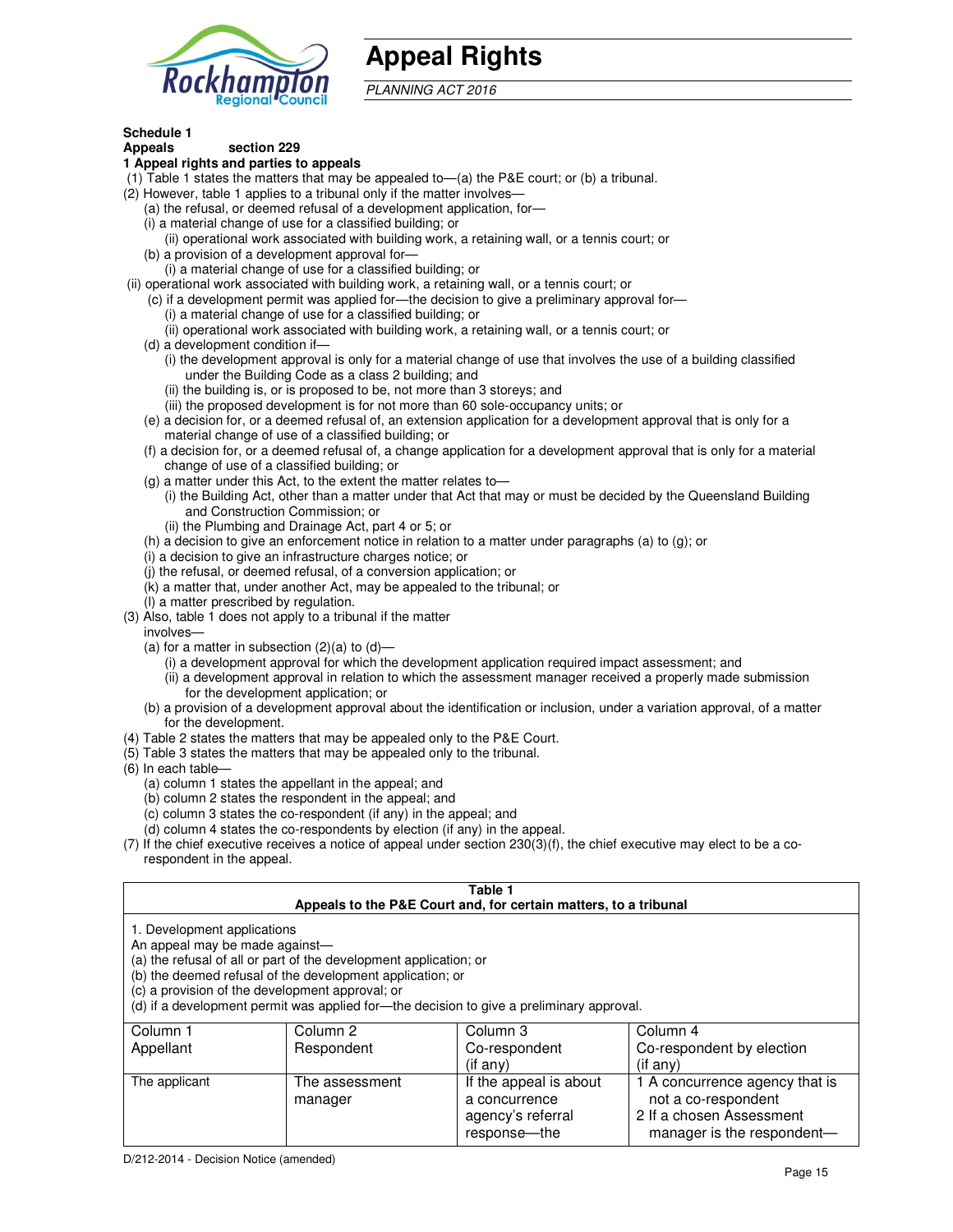

# **Appeal Rights**

PLANNING ACT 2016

#### **Schedule 1**

#### **Appeals section 229 1 Appeal rights and parties to appeals**

- (1) Table 1 states the matters that may be appealed to—(a) the P&E court; or (b) a tribunal.
- (2) However, table 1 applies to a tribunal only if the matter involves—
	- (a) the refusal, or deemed refusal of a development application, for—
	- (i) a material change of use for a classified building; or
	- (ii) operational work associated with building work, a retaining wall, or a tennis court; or (b) a provision of a development approval for—
	- (i) a material change of use for a classified building; or
- (ii) operational work associated with building work, a retaining wall, or a tennis court; or
	- (c) if a development permit was applied for—the decision to give a preliminary approval for—
		- (i) a material change of use for a classified building; or
		- (ii) operational work associated with building work, a retaining wall, or a tennis court; or
	- (d) a development condition if—
		- (i) the development approval is only for a material change of use that involves the use of a building classified under the Building Code as a class 2 building; and
		- (ii) the building is, or is proposed to be, not more than 3 storeys; and
		- (iii) the proposed development is for not more than 60 sole-occupancy units; or
	- (e) a decision for, or a deemed refusal of, an extension application for a development approval that is only for a material change of use of a classified building; or
	- (f) a decision for, or a deemed refusal of, a change application for a development approval that is only for a material change of use of a classified building; or
	- (g) a matter under this Act, to the extent the matter relates to—
		- (i) the Building Act, other than a matter under that Act that may or must be decided by the Queensland Building and Construction Commission; or
		- (ii) the Plumbing and Drainage Act, part 4 or 5; or
	- (h) a decision to give an enforcement notice in relation to a matter under paragraphs (a) to (g); or
	- (i) a decision to give an infrastructure charges notice; or
	- (j) the refusal, or deemed refusal, of a conversion application; or
	- (k) a matter that, under another Act, may be appealed to the tribunal; or
	- (l) a matter prescribed by regulation.
- (3) Also, table 1 does not apply to a tribunal if the matter
- involves—
	- (a) for a matter in subsection  $(2)(a)$  to  $(d)$ 
		- (i) a development approval for which the development application required impact assessment; and
		- (ii) a development approval in relation to which the assessment manager received a properly made submission for the development application; or
	- (b) a provision of a development approval about the identification or inclusion, under a variation approval, of a matter for the development.
- (4) Table 2 states the matters that may be appealed only to the P&E Court.
- (5) Table 3 states the matters that may be appealed only to the tribunal.
- (6) In each table—
	- (a) column 1 states the appellant in the appeal; and
	- (b) column 2 states the respondent in the appeal; and
	- (c) column 3 states the co-respondent (if any) in the appeal; and
	- (d) column 4 states the co-respondents by election (if any) in the appeal.
- (7) If the chief executive receives a notice of appeal under section 230(3)(f), the chief executive may elect to be a corespondent in the appeal.

| Table 1<br>Appeals to the P&E Court and, for certain matters, to a tribunal                                                                                                                                                                                                                                                                    |                           |                                                              |                                                                                   |  |
|------------------------------------------------------------------------------------------------------------------------------------------------------------------------------------------------------------------------------------------------------------------------------------------------------------------------------------------------|---------------------------|--------------------------------------------------------------|-----------------------------------------------------------------------------------|--|
| 1. Development applications<br>An appeal may be made against-<br>(a) the refusal of all or part of the development application; or<br>(b) the deemed refusal of the development application; or<br>(c) a provision of the development approval; or<br>(d) if a development permit was applied for—the decision to give a preliminary approval. |                           |                                                              |                                                                                   |  |
| Column 1<br>Appellant                                                                                                                                                                                                                                                                                                                          | Column 2<br>Respondent    | Column 3<br>Co-respondent<br>$($ if any $)$                  | Column 4<br>Co-respondent by election<br>$($ if any $)$                           |  |
| The applicant                                                                                                                                                                                                                                                                                                                                  | The assessment<br>manager | If the appeal is about<br>a concurrence<br>agency's referral | 1 A concurrence agency that is<br>not a co-respondent<br>2 If a chosen Assessment |  |

response—the

manager is the respondent-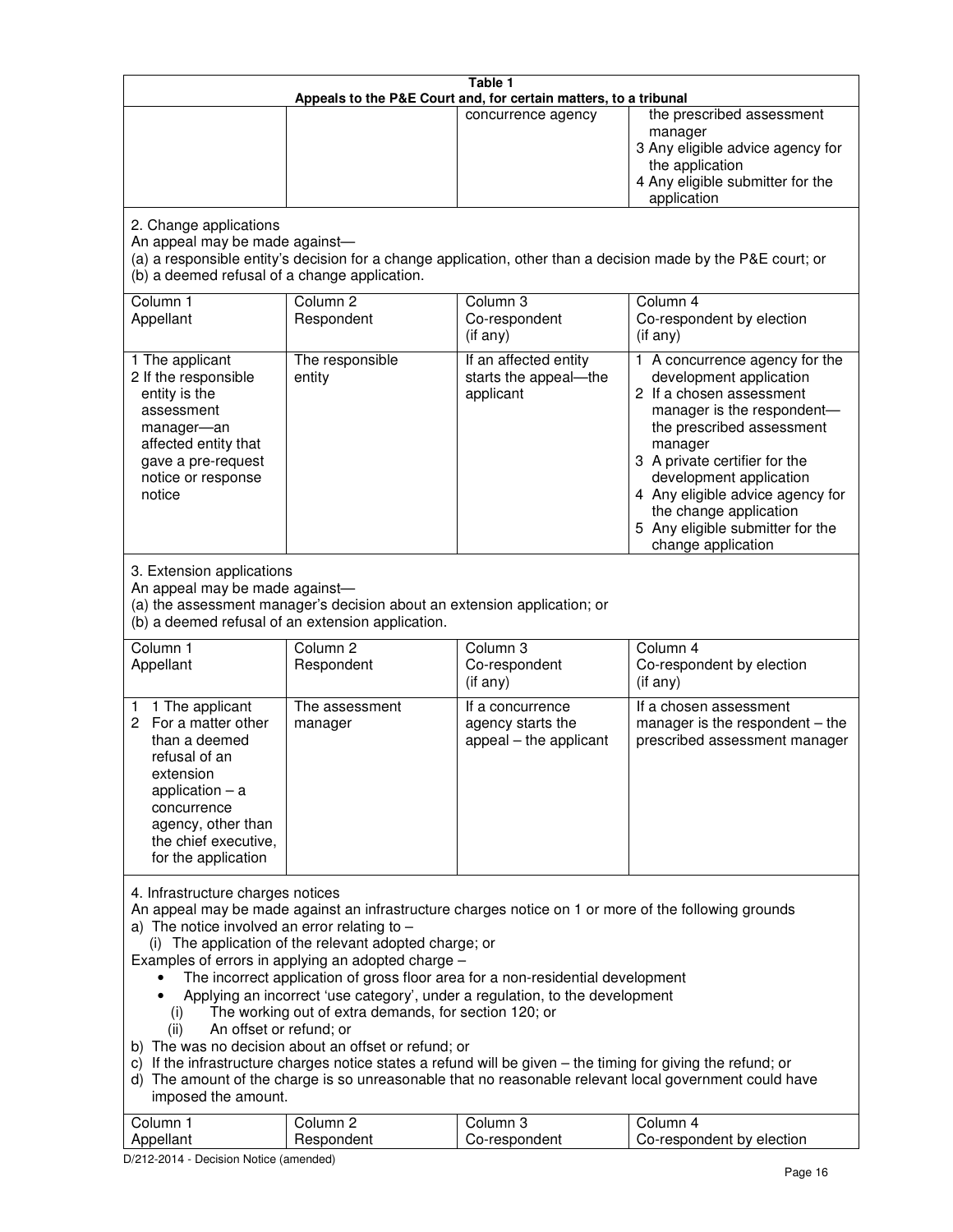| Table 1<br>Appeals to the P&E Court and, for certain matters, to a tribunal                                                                                                                                                                                                                                                                                                                                                                                                                                                                                                                                                                                                                                                                                                                                                                                                                                                                                       |                                   |                                                                 |                                                                                                                                                                                                                                                                                                                                                 |  |
|-------------------------------------------------------------------------------------------------------------------------------------------------------------------------------------------------------------------------------------------------------------------------------------------------------------------------------------------------------------------------------------------------------------------------------------------------------------------------------------------------------------------------------------------------------------------------------------------------------------------------------------------------------------------------------------------------------------------------------------------------------------------------------------------------------------------------------------------------------------------------------------------------------------------------------------------------------------------|-----------------------------------|-----------------------------------------------------------------|-------------------------------------------------------------------------------------------------------------------------------------------------------------------------------------------------------------------------------------------------------------------------------------------------------------------------------------------------|--|
|                                                                                                                                                                                                                                                                                                                                                                                                                                                                                                                                                                                                                                                                                                                                                                                                                                                                                                                                                                   |                                   | concurrence agency                                              | the prescribed assessment<br>manager<br>3 Any eligible advice agency for<br>the application<br>4 Any eligible submitter for the<br>application                                                                                                                                                                                                  |  |
| 2. Change applications<br>An appeal may be made against-<br>(a) a responsible entity's decision for a change application, other than a decision made by the P&E court; or<br>(b) a deemed refusal of a change application.                                                                                                                                                                                                                                                                                                                                                                                                                                                                                                                                                                                                                                                                                                                                        |                                   |                                                                 |                                                                                                                                                                                                                                                                                                                                                 |  |
| Column 1<br>Appellant                                                                                                                                                                                                                                                                                                                                                                                                                                                                                                                                                                                                                                                                                                                                                                                                                                                                                                                                             | Column <sub>2</sub><br>Respondent | Column <sub>3</sub><br>Co-respondent<br>(if any)                | Column 4<br>Co-respondent by election<br>(if any)                                                                                                                                                                                                                                                                                               |  |
| 1 The applicant<br>2 If the responsible<br>entity is the<br>assessment<br>manager-an<br>affected entity that<br>gave a pre-request<br>notice or response<br>notice                                                                                                                                                                                                                                                                                                                                                                                                                                                                                                                                                                                                                                                                                                                                                                                                | The responsible<br>entity         | If an affected entity<br>starts the appeal-the<br>applicant     | 1 A concurrence agency for the<br>development application<br>2 If a chosen assessment<br>manager is the respondent-<br>the prescribed assessment<br>manager<br>3 A private certifier for the<br>development application<br>4 Any eligible advice agency for<br>the change application<br>5 Any eligible submitter for the<br>change application |  |
| 3. Extension applications<br>An appeal may be made against-<br>(a) the assessment manager's decision about an extension application; or<br>(b) a deemed refusal of an extension application.                                                                                                                                                                                                                                                                                                                                                                                                                                                                                                                                                                                                                                                                                                                                                                      |                                   |                                                                 |                                                                                                                                                                                                                                                                                                                                                 |  |
| Column 1<br>Appellant                                                                                                                                                                                                                                                                                                                                                                                                                                                                                                                                                                                                                                                                                                                                                                                                                                                                                                                                             | Column <sub>2</sub><br>Respondent | Column 3<br>Co-respondent<br>(if any)                           | Column 4<br>Co-respondent by election<br>(if any)                                                                                                                                                                                                                                                                                               |  |
| 1 The applicant<br>1.<br>For a matter other<br>2<br>than a deemed<br>refusal of an<br>extension<br>application $-$ a<br>concurrence<br>agency, other than<br>the chief executive,<br>for the application                                                                                                                                                                                                                                                                                                                                                                                                                                                                                                                                                                                                                                                                                                                                                          | The assessment<br>manager         | If a concurrence<br>agency starts the<br>appeal - the applicant | If a chosen assessment<br>manager is the respondent - the<br>prescribed assessment manager                                                                                                                                                                                                                                                      |  |
| 4. Infrastructure charges notices<br>An appeal may be made against an infrastructure charges notice on 1 or more of the following grounds<br>a) The notice involved an error relating to $-$<br>(i) The application of the relevant adopted charge; or<br>Examples of errors in applying an adopted charge -<br>The incorrect application of gross floor area for a non-residential development<br>Applying an incorrect 'use category', under a regulation, to the development<br>The working out of extra demands, for section 120; or<br>(i)<br>An offset or refund; or<br>(ii)<br>b) The was no decision about an offset or refund; or<br>c) If the infrastructure charges notice states a refund will be given - the timing for giving the refund; or<br>d) The amount of the charge is so unreasonable that no reasonable relevant local government could have<br>imposed the amount.<br>Column 1<br>Column <sub>2</sub><br>Column <sub>3</sub><br>Column 4 |                                   |                                                                 |                                                                                                                                                                                                                                                                                                                                                 |  |
| Appellant                                                                                                                                                                                                                                                                                                                                                                                                                                                                                                                                                                                                                                                                                                                                                                                                                                                                                                                                                         | Respondent                        | Co-respondent                                                   | Co-respondent by election                                                                                                                                                                                                                                                                                                                       |  |

D/212-2014 - Decision Notice (amended)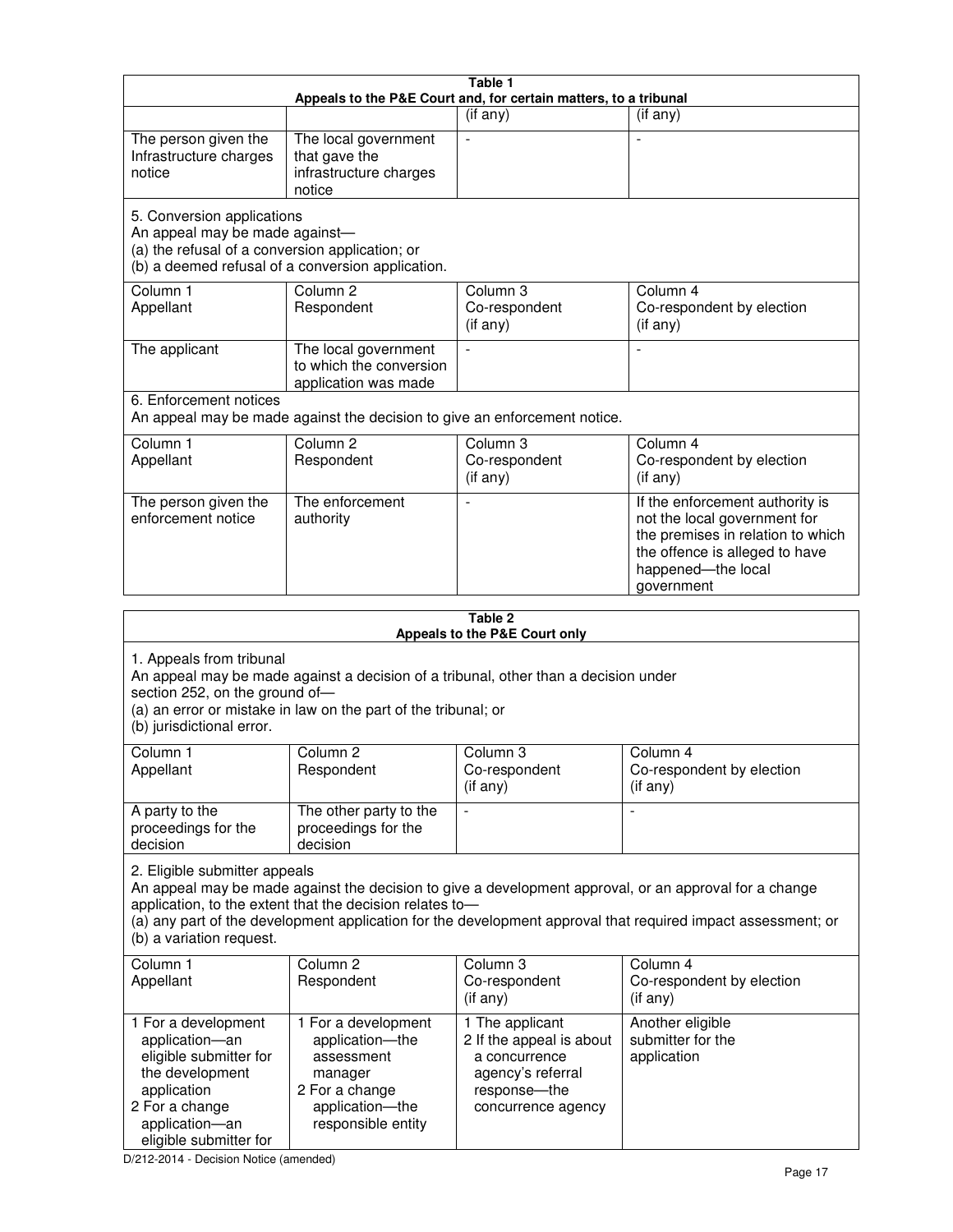| Table 1<br>Appeals to the P&E Court and, for certain matters, to a tribunal                                                                                                                                                                                                                                                                     |                                                                                                                            |                                                                                                                         |                                                                                                                                                                            |  |
|-------------------------------------------------------------------------------------------------------------------------------------------------------------------------------------------------------------------------------------------------------------------------------------------------------------------------------------------------|----------------------------------------------------------------------------------------------------------------------------|-------------------------------------------------------------------------------------------------------------------------|----------------------------------------------------------------------------------------------------------------------------------------------------------------------------|--|
|                                                                                                                                                                                                                                                                                                                                                 |                                                                                                                            | (if any)                                                                                                                | (if any)                                                                                                                                                                   |  |
| The person given the<br>Infrastructure charges<br>notice                                                                                                                                                                                                                                                                                        | The local government<br>that gave the<br>infrastructure charges<br>notice                                                  |                                                                                                                         |                                                                                                                                                                            |  |
| 5. Conversion applications<br>An appeal may be made against-<br>(a) the refusal of a conversion application; or<br>(b) a deemed refusal of a conversion application.                                                                                                                                                                            |                                                                                                                            |                                                                                                                         |                                                                                                                                                                            |  |
| Column 1<br>Appellant                                                                                                                                                                                                                                                                                                                           | Column <sub>2</sub><br>Respondent                                                                                          | Column 3<br>Co-respondent<br>(if any)                                                                                   | Column 4<br>Co-respondent by election<br>(if any)                                                                                                                          |  |
| The applicant                                                                                                                                                                                                                                                                                                                                   | The local government<br>to which the conversion<br>application was made                                                    |                                                                                                                         |                                                                                                                                                                            |  |
| 6. Enforcement notices                                                                                                                                                                                                                                                                                                                          | An appeal may be made against the decision to give an enforcement notice.                                                  |                                                                                                                         |                                                                                                                                                                            |  |
| Column 1<br>Appellant                                                                                                                                                                                                                                                                                                                           | Column <sub>2</sub><br>Respondent                                                                                          | Column <sub>3</sub><br>Co-respondent<br>(if any)                                                                        | Column 4<br>Co-respondent by election<br>(if any)                                                                                                                          |  |
| The person given the<br>enforcement notice                                                                                                                                                                                                                                                                                                      | The enforcement<br>authority                                                                                               |                                                                                                                         | If the enforcement authority is<br>not the local government for<br>the premises in relation to which<br>the offence is alleged to have<br>happened-the local<br>government |  |
| Table 2<br>Appeals to the P&E Court only                                                                                                                                                                                                                                                                                                        |                                                                                                                            |                                                                                                                         |                                                                                                                                                                            |  |
| 1. Appeals from tribunal<br>An appeal may be made against a decision of a tribunal, other than a decision under<br>section 252, on the ground of-<br>(a) an error or mistake in law on the part of the tribunal; or<br>(b) jurisdictional error.                                                                                                |                                                                                                                            |                                                                                                                         |                                                                                                                                                                            |  |
| Column 1<br>Appellant                                                                                                                                                                                                                                                                                                                           | Column 2<br>Respondent                                                                                                     | Column 3<br>Co-respondent<br>(if any)                                                                                   | Column 4<br>Co-respondent by election<br>(i f any)                                                                                                                         |  |
| A party to the<br>proceedings for the<br>decision                                                                                                                                                                                                                                                                                               | The other party to the<br>proceedings for the<br>decision                                                                  |                                                                                                                         |                                                                                                                                                                            |  |
| 2. Eligible submitter appeals<br>An appeal may be made against the decision to give a development approval, or an approval for a change<br>application, to the extent that the decision relates to-<br>(a) any part of the development application for the development approval that required impact assessment; or<br>(b) a variation request. |                                                                                                                            |                                                                                                                         |                                                                                                                                                                            |  |
| Column 1<br>Appellant                                                                                                                                                                                                                                                                                                                           | Column <sub>2</sub><br>Respondent                                                                                          | Column 3<br>Co-respondent<br>(if any)                                                                                   | Column 4<br>Co-respondent by election<br>(if any)                                                                                                                          |  |
| 1 For a development<br>application-an<br>eligible submitter for<br>the development<br>application<br>2 For a change<br>application-an                                                                                                                                                                                                           | 1 For a development<br>application-the<br>assessment<br>manager<br>2 For a change<br>application-the<br>responsible entity | 1 The applicant<br>2 If the appeal is about<br>a concurrence<br>agency's referral<br>response-the<br>concurrence agency | Another eligible<br>submitter for the<br>application                                                                                                                       |  |

D/212-2014 - Decision Notice (amended)

eligible submitter for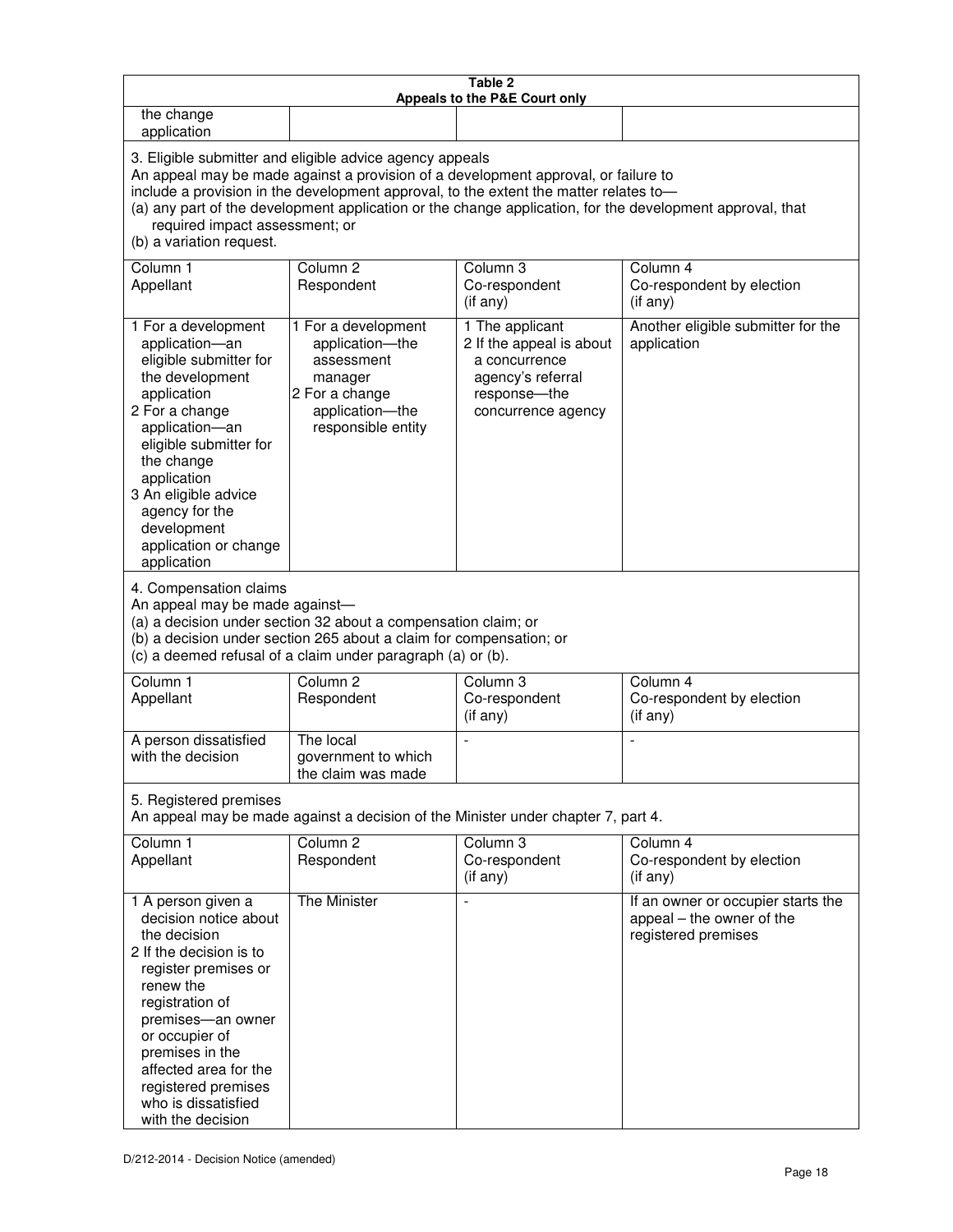| Table 2<br>Appeals to the P&E Court only                                                                                                                                                                                                                                                                                                                                                                           |                                                                                                                            |                                                                                                                         |                                                                                        |  |
|--------------------------------------------------------------------------------------------------------------------------------------------------------------------------------------------------------------------------------------------------------------------------------------------------------------------------------------------------------------------------------------------------------------------|----------------------------------------------------------------------------------------------------------------------------|-------------------------------------------------------------------------------------------------------------------------|----------------------------------------------------------------------------------------|--|
| the change<br>application                                                                                                                                                                                                                                                                                                                                                                                          |                                                                                                                            |                                                                                                                         |                                                                                        |  |
| 3. Eligible submitter and eligible advice agency appeals<br>An appeal may be made against a provision of a development approval, or failure to<br>include a provision in the development approval, to the extent the matter relates to-<br>(a) any part of the development application or the change application, for the development approval, that<br>required impact assessment; or<br>(b) a variation request. |                                                                                                                            |                                                                                                                         |                                                                                        |  |
| Column 1<br>Appellant                                                                                                                                                                                                                                                                                                                                                                                              | Column <sub>2</sub><br>Respondent                                                                                          | Column 3<br>Co-respondent<br>(if any)                                                                                   | Column 4<br>Co-respondent by election<br>(if any)                                      |  |
| 1 For a development<br>application-an<br>eligible submitter for<br>the development<br>application<br>2 For a change<br>application-an<br>eligible submitter for<br>the change<br>application<br>3 An eligible advice<br>agency for the<br>development<br>application or change<br>application                                                                                                                      | 1 For a development<br>application-the<br>assessment<br>manager<br>2 For a change<br>application-the<br>responsible entity | 1 The applicant<br>2 If the appeal is about<br>a concurrence<br>agency's referral<br>response-the<br>concurrence agency | Another eligible submitter for the<br>application                                      |  |
| 4. Compensation claims<br>An appeal may be made against-<br>(a) a decision under section 32 about a compensation claim; or<br>(b) a decision under section 265 about a claim for compensation; or<br>(c) a deemed refusal of a claim under paragraph (a) or (b).                                                                                                                                                   |                                                                                                                            |                                                                                                                         |                                                                                        |  |
| Column <sub>1</sub><br>Appellant                                                                                                                                                                                                                                                                                                                                                                                   | Column <sub>2</sub><br>Respondent                                                                                          | Column 3<br>Co-respondent<br>(if any)                                                                                   | Column 4<br>Co-respondent by election<br>(if any)                                      |  |
| A person dissatisfied<br>with the decision                                                                                                                                                                                                                                                                                                                                                                         | The local<br>government to which<br>the claim was made                                                                     |                                                                                                                         |                                                                                        |  |
| 5. Registered premises<br>An appeal may be made against a decision of the Minister under chapter 7, part 4.                                                                                                                                                                                                                                                                                                        |                                                                                                                            |                                                                                                                         |                                                                                        |  |
| Column 1<br>Appellant                                                                                                                                                                                                                                                                                                                                                                                              | Column <sub>2</sub><br>Respondent                                                                                          | Column <sub>3</sub><br>Co-respondent<br>(if any)                                                                        | Column 4<br>Co-respondent by election<br>(i f any)                                     |  |
| 1 A person given a<br>decision notice about<br>the decision<br>2 If the decision is to<br>register premises or<br>renew the<br>registration of<br>premises-an owner<br>or occupier of<br>premises in the<br>affected area for the<br>registered premises<br>who is dissatisfied<br>with the decision                                                                                                               | The Minister                                                                                                               | L,                                                                                                                      | If an owner or occupier starts the<br>appeal – the owner of the<br>registered premises |  |